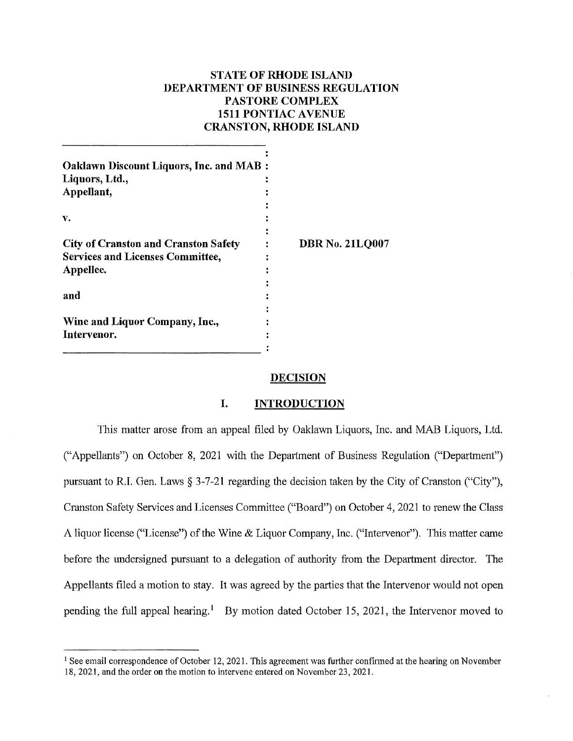# **STATE OF RHODE ISLAND DEPARTMENT OF BUSINESS REGULATION PASTORE COMPLEX 1511 PONTIAC A VENUE CRANSTON,RHODEISLAND**

| <b>Oaklawn Discount Liquors, Inc. and MAB:</b> |                        |
|------------------------------------------------|------------------------|
| Liquors, Ltd.,                                 |                        |
| Appellant,                                     |                        |
|                                                |                        |
| v.                                             |                        |
|                                                |                        |
| <b>City of Cranston and Cranston Safety</b>    | <b>DBR No. 21LQ007</b> |
| <b>Services and Licenses Committee,</b>        |                        |
| Appellee.                                      |                        |
|                                                |                        |
| and                                            |                        |
|                                                |                        |
| Wine and Liquor Company, Inc.,                 |                        |
| Intervenor.                                    |                        |
|                                                |                        |

# **DECISION**

### **I. INTRODUCTION**

This matter arose from an appeal filed by Oaklawn Liquors, Inc. and MAB Liquors, Ltd. ("Appellants") on October 8, 2021 with the Department of Business Regulation ("Department") pursuant to R.I. Gen. Laws§ 3-7-21 regarding the decision taken by the City of Cranston ("City"), Cranston Safety Services and Licenses Committee ("Board") on October 4, 2021 to renew the Class A liquor license ("License") of the Wine & Liquor Company, Inc. ("Intervenor"). This matter came before the undersigned pursuant to a delegation of authority from the Department director. The Appellants filed a motion to stay. It was agreed by the parties that the Intervenor would not open pending the full appeal hearing.<sup>1</sup> By motion dated October 15, 2021, the Intervenor moved to

<sup>&</sup>lt;sup>1</sup> See email correspondence of October 12, 2021. This agreement was further confirmed at the hearing on November 18, 2021, and the order on the motion to intervene entered on November 23, 2021.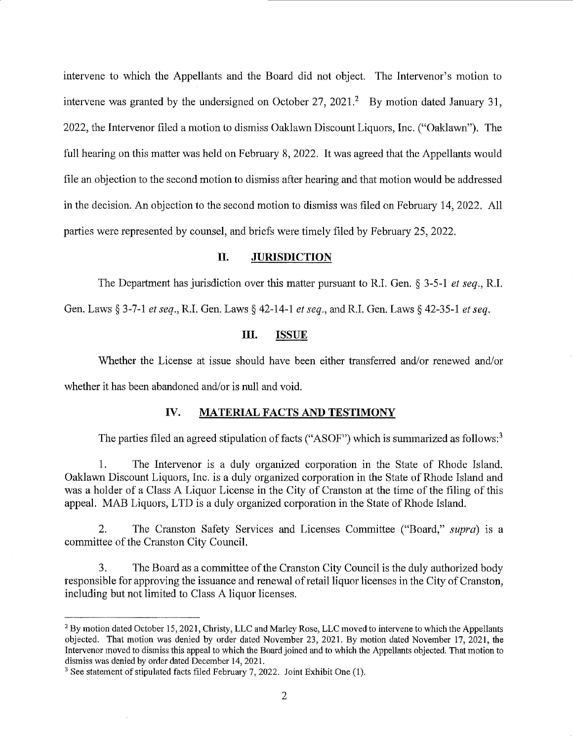intervene to which the Appellants and the Board did not object. The Intervenor's motion to intervene was granted by the undersigned on October 27, 2021.<sup>2</sup> By motion dated January 31, 2022, the Intervenor filed a motion to dismiss Oaklawn Discount Liquors, Inc. ("Oaklawn"). The full hearing on this matter was held on February 8, 2022. It was agreed that the Appellants would file an objection to the second motion to dismiss after hearing and that motion would be addressed in the decision. An objection to the second motion to dismiss was filed on February 14, 2022. All parties were represented by counsel, and briefs were timely filed by February 25, 2022.

### **II. JURISDICTION**

The Department has jurisdiction over this matter pursuant to R.I. Gen. § 3-5-1 *et seq.,* RI. Gen. Laws§ 3-7-1 *et seq.,* RI. Gen. Laws§ 42-14-1 *et seq.,* and RI. Gen. Laws§ 42-35-1 *et seq.* 

# **Ill. ISSUE**

Whether the License at issue should have been either transferred and/or renewed and/or whether it has been abandoned and/or is null and void.

# **IV. MATERIAL FACTS AND TESTIMONY**

The parties filed an agreed stipulation of facts ("ASOF") which is summarized as follows:<sup>3</sup>

1. The Intervenor is a duly organized corporation in the State of Rhode Island. Oaklawn Discount Liquors, Inc. is a duly organized corporation in the State of Rhode Island and was a holder of a Class A Liquor License in the City of Cranston at the time of the filing of this appeal. MAB Liquors, LTD is a duly organized corporation in the State of Rhode Island.

2. The Cranston Safety Services and Licenses Committee ("Board," *supra)* 1s a committee of the Cranston City Council.

3. The Board as a committee of the Cranston City Council is the duly authorized body responsible for approving the issuance and renewal of retail liquor licenses in the City of Cranston, including but not limited to Class A liquor licenses.

<sup>&</sup>lt;sup>2</sup> By motion dated October 15, 2021, Christy, LLC and Marley Rose, LLC moved to intervene to which the Appellants objected. That motion was denied by order dated November 23, 2021. By motion dated November 17, 2021, the Intervenor moved to dismiss this appeal to which the Board joined and to which the Appellants objected. That motion to dismiss was denied by order dated December 14, 2021.

<sup>&</sup>lt;sup>3</sup> See statement of stipulated facts filed February 7, 2022. Joint Exhibit One (1).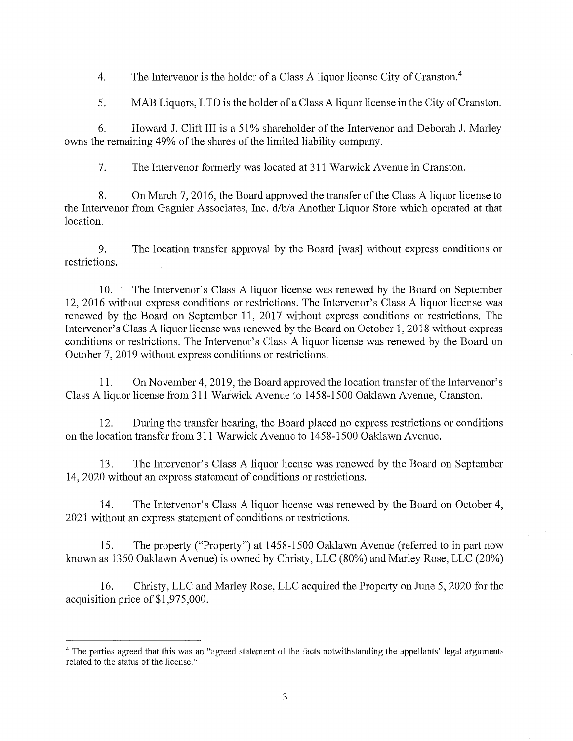4. The Intervenor is the holder of a Class A liquor license City of Cranston.<sup>4</sup>

5. MAB Liquors, LTD is the holder of a Class A liquor license in the City of Cranston.

6. Howard J. Clift III is a 51 % shareholder of the Intervenor and Deborah J. Marley owns the remaining 49% of the shares of the limited liability company.

7. The Intervenor formerly was located at 311 Warwick A venue in Cranston.

8. On March 7, 2016, the Board approved the transfer of the Class A liquor license to the Intervenor from Gagnier Associates, Inc. d/b/a Another Liquor Store which operated at that location.

9. The location transfer approval by the Board [was] without express conditions or restrictions.

10. The Intervenor's Class A liquor license was renewed by the Board on September 12, 2016 without express conditions or restrictions. The Intervenor's Class A liquor license was renewed by the Board on September 11, 2017 without express conditions or restrictions. The Intervenor's Class A liquor license was renewed by the Board on October 1, 2018 without express conditions or restrictions. The Intervenor's Class A liquor license was renewed by the Board on October 7, 2019 without express conditions or restrictions.

11. On November 4, 2019, the Board approved the location transfer of the Intervenor's Class A liquor license from 311 Warwick Avenue to 1458-1500 Oaklawn Avenue, Cranston.

12. During the transfer hearing, the Board placed no express restrictions or conditions on the location transfer from 311 Warwick Avenue to 1458-1500 Oaklawn Avenue.

13. The Intervenor's Class A liquor license was renewed by the Board on September 14, 2020 without an express statement of conditions or restrictions.

14. The Intervenor's Class A liquor license was renewed by the Board on October 4, 2021 without an express statement of conditions or restrictions.

15. The property ("Property") at 1458-1500 Oaklawn Avenue (referred to in part now known as 1350 Oaklawn Avenue) is owned by Christy, LLC (80%) and Marley Rose, LLC (20%)

16. Christy, LLC and Marley Rose, LLC acquired the Property on June 5, 2020 for the acquisition price of \$1,975,000.

<sup>4</sup>The parties agreed that this was an "agreed statement of the facts notwithstanding the appellants' legal arguments related to the status of the license."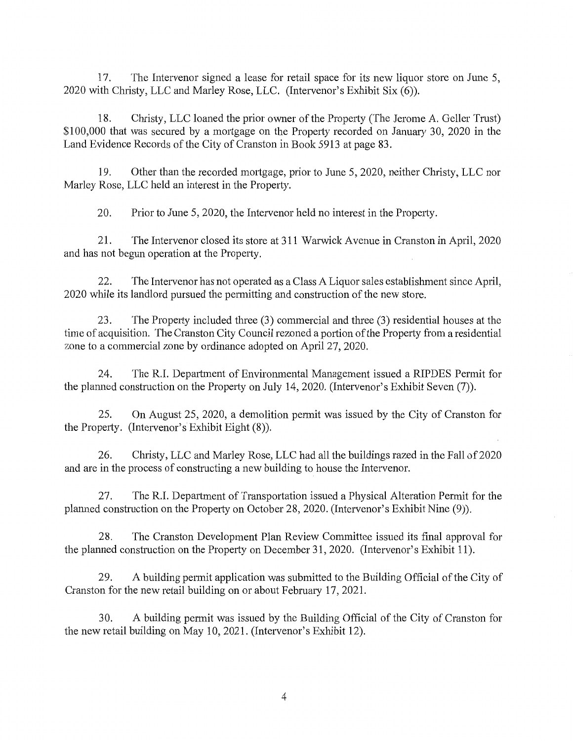17. The Intervenor signed a lease for retail space for its new liquor store on June 5, 2020 with Christy, LLC and Marley Rose, LLC. (Intervenor's Exhibit Six (6)).

18. Christy, LLC loaned the prior owner of the Property (The Jerome A. Geller Trust) \$100,000 that was secured by a mortgage on the Property recorded on January 30, 2020 in the Land Evidence Records of the City of Cranston in Book 5913 at page 83.

19. Other than the recorded mmigage, prior to June 5, 2020, neither Christy, LLC nor Marley Rose, LLC held an interest in the Property.

20. Prior to June 5, 2020, the Intervenor held no interest in the Property.

21. The Intervenor closed its store at 311 Warwick A venue in Cranston in April, 2020 and has not begun operation at the Property.

22. The Intervenor has not operated as a Class A Liquor sales establishment since April, 2020 while its landlord pursued the permitting and construction of the new store.

23. The Property included three  $(3)$  commercial and three  $(3)$  residential houses at the time of acquisition. The Cranston City Council rezoned a portion of the Property from a residential zone to a commercial zone by ordinance adopted on April 27, 2020.

24. The R.I. Department of Environmental Management issued a RIPDES Permit for the planned construction on the Property on July 14, 2020. (Intervenor's Exhibit Seven (7)).

25. On August 25, 2020, a demolition permit was issued by the City of Cranston for the Property. (Intervenor's Exhibit Eight (8)).

26. Christy, LLC and Marley Rose, LLC had all the buildings razed in the Fall of 2020 and are in the process of constructing a new building to house the Intervenor.

27. The R.I. Department of Transportation issued a Physical Alteration Permit for the planned construction on the Property on October 28, 2020. (Intervenor's Exhibit Nine (9)).

28. The Cranston Development Plan Review Committee issued its final approval for the planned construction on the Property on December 31, 2020. (Intervenor's Exhibit 11).

29. A building permit application was submitted to the Building Official of the City of Cranston for the new retail building on or about February 17, 2021.

30. A building permit was issued by the Building Official of the City of Cranston for the new retail building on May 10, 2021. (Intervenor's Exhibit 12).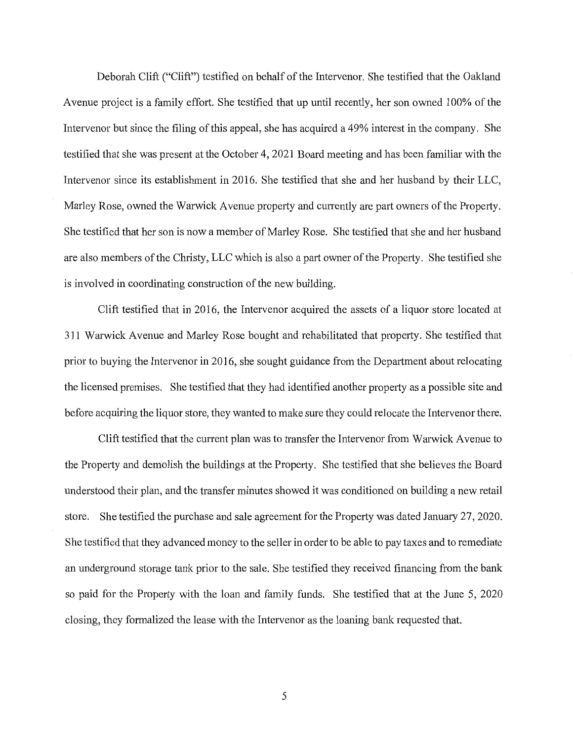Deborah Clift ("Clift") testified on behalf of the Intervenor. She testified that the Oakland Avenue project is a family effort. She testified that up until recently, her son owned 100% of the Intervenor but since the filing of this appeal, she has acquired a 49% interest in the company. She testified that she was present at the October 4, 2021 Board meeting and has been familiar with the Intervenor since its establishment in 2016. She testified that she and her husband by their LLC, Marley Rose, owned the Warwick Avenue property and currently are part owners of the Property. She testified that her son is now a member of Marley Rose. She testified that she and her husband are also members of the Christy, LLC which is also a part owner of the Property. She testified she is involved in coordinating construction of the new building.

Clift testified that in 2016, the Intervenor acquired the assets of a liquor store located at 311 Warwick Avenue and Marley Rose bought and rehabilitated that property. She testified that prior to buying the Intervenor in 2016, she sought guidance from the Department about relocating the licensed premises. She testified that they had identified another property as a possible site and before acquiring the liquor store, they wanted to make sure they could relocate the Intervenor there.

Clift testified that the current plan was to transfer the Intervenor from Warwick A venue to the Property and demolish the buildings at the Property. She testified that she believes the Board understood their plan, and the transfer minutes showed it was conditioned on building a new retail store. She testified the purchase and sale agreement for the Property was dated January 27, 2020. She testified that they advanced money to the seller in order to be able to pay taxes and to remediate an underground storage tank prior to the sale. She testified they received financing from the bank so paid for the Property with the loan and family funds. She testified that at the June 5, 2020 closing, they formalized the lease with the Intervenor as the loaning bank requested that.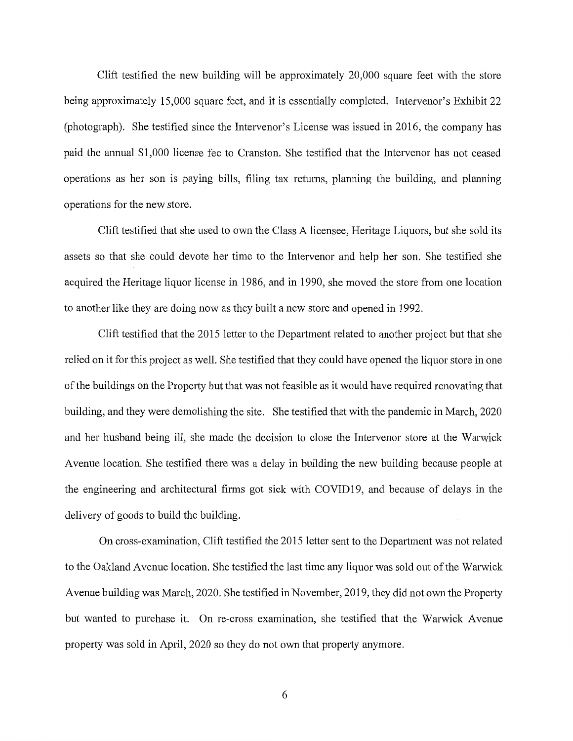Clift testified the new building will be approximately 20,000 square feet with the store being approximately 15,000 square feet, and it is essentially completed. Intervenor's Exhibit 22 (photograph). She testified since the Intervenor's License was issued in 2016, the company has paid the annual \$1,000 license fee to Cranston. She testified that the Intervenor has not ceased operations as her son is paying bills, filing tax returns, planning the building, and planning operations for the new store.

Clift testified that she used to own the Class A licensee, Heritage Liquors, but she sold its assets so that she could devote her time to the Intervenor and help her son. She testified she acquired the Heritage liquor license in 1986, and in 1990, she moved the store from one location to another like they are doing now as they built a new store and opened in 1992.

Clift testified that the 2015 letter to the Department related to another project but that she relied on it for this project as well. She testified that they could have opened the liquor store in one of the buildings on the Property but that was not feasible as it would have required renovating that building, and they were demolishing the site. She testified that with the pandemic in March, 2020 and her husband being ill, she made the decision to close the Intervenor store at the Warwick A venue location. She testified there was a delay in building the new building because people at the engineering and architectural firms got sick with COVID19, and because of delays in the delivery of goods to build the building.

On cross-examination, Clift testified the 2015 letter sent to the Department was not related to the Oakland Avenue location. She testified the last time any liquor was sold out of the Warwick Avenue building was March, 2020. She testified in November, 2019, they did not own the Property but wanted to purchase it. On re-cross examination, she testified that the Warwick Avenue property was sold in April, 2020 so they do not own that property anymore.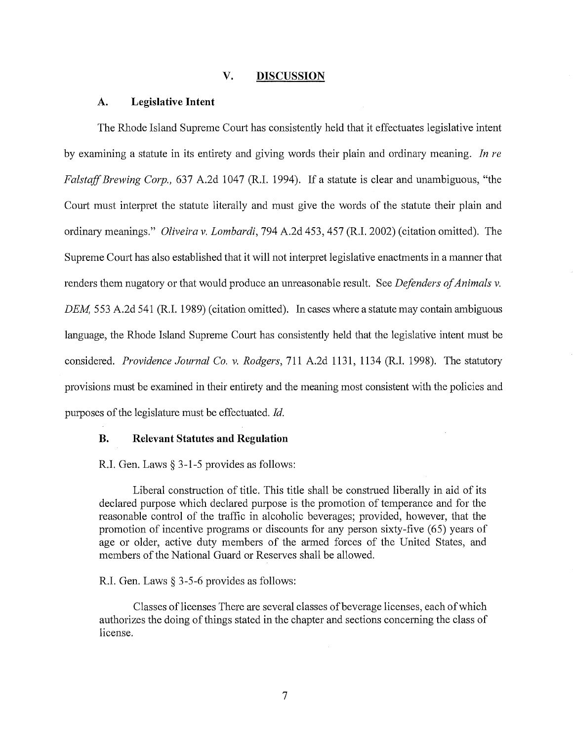#### **V. DISCUSSION**

#### **A. Legislative Intent**

The Rhode Island Supreme Court has consistently held that it effectuates legislative intent by examining a statute in its entirety and giving words their plain and ordinary meaning. *In re Falstaff Brewing Corp.,* 637 A.2d 1047 (R.I. 1994). If a statute is clear and unambiguous, "the Court must interpret the statute literally and must give the words of the statute their plain and ordinary meanings." *Oliveira v. Lombardi,* 794 A.2d 453,457 (R.I. 2002) (citation omitted). The Supreme Court has also established that it will not interpret legislative enactments in a manner that renders them nugatory or that would produce an umeasonable result. See *Defenders of Animals v. DEM,* 553 A.2d 541 (R.I. 1989) (citation omitted). In cases where a statute may contain ambiguous language, the Rhode Island Supreme Court has consistently held that the legislative intent must be considered. *Providence Journal Co. v. Rodgers,* 711 A.2d 1131, 1134 (R.I. 1998). The statutory provisions must be examined in their entirety and the meaning most consistent with the policies and purposes of the legislature must be effectuated. *Id.* 

### **B. Relevant Statutes and Regulation**

R.I. Gen. Laws§ 3-1-5 provides as follows:

Liberal construction of title. This title shall be construed liberally in aid of its declared purpose which declared purpose is the promotion of temperance and for the reasonable control of the traffic in alcoholic beverages; provided, however, that the promotion of incentive programs or discounts for any person sixty-five (65) years of age or older, active duty members of the armed forces of the United States, and members of the National Guard or Reserves shall be allowed.

#### R.I. Gen. Laws § 3-5-6 provides as follows:

Classes oflicenses There are several classes of beverage licenses, each of which authorizes the doing of things stated in the chapter and sections concerning the class of license.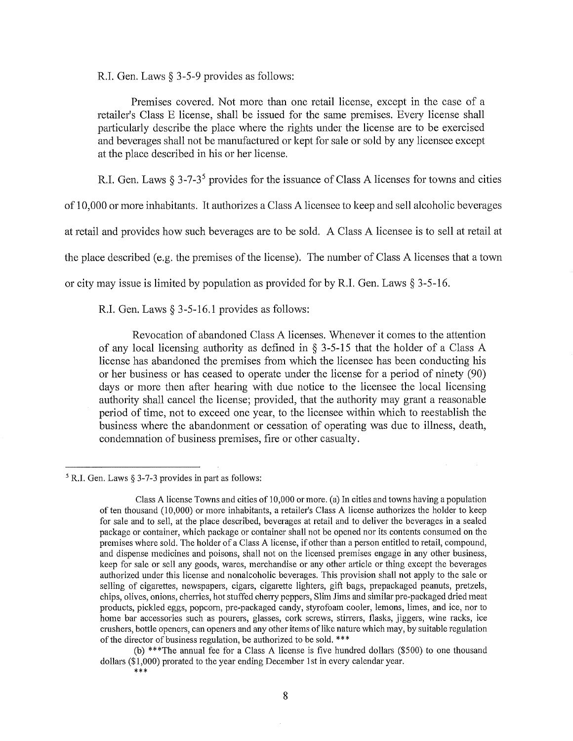R.I. Gen. Laws § 3-5-9 provides as follows:

Premises covered. Not more than one retail license, except in the case of a retailer's Class E license, shall be issued for the same premises. Every license shall particularly describe the place where the rights under the license are to be exercised and beverages shall not be manufactured or kept for sale or sold by any licensee except at the place described in his or her license.

R.I. Gen. Laws  $\S 3$ -7-3<sup>5</sup> provides for the issuance of Class A licenses for towns and cities

of 10,000 or more inhabitants. It authorizes a Class A licensee to keep and sell alcoholic beverages

at retail and provides how such beverages are to be sold. A Class A licensee is to sell at retail at

the place described (e.g. the premises of the license). The number of Class A licenses that a town

or city may issue is limited by population as provided for by R.I. Gen. Laws  $\S 3-5-16$ .

R.I. Gen. Laws § 3-5-16.1 provides as follows:

Revocation of abandoned Class A licenses. Whenever it comes to the attention of any local licensing authority as defined in § 3-5-15 that the holder of a Class A license has abandoned the premises from which the licensee has been conducting his or her business or has ceased to operate under the license for a period of ninety (90) days or more then after hearing with due notice to the licensee the local licensing authority shall cancel the license; provided, that the authority may grant a reasonable period of time, not to exceed one year, to the licensee within which to reestablish the business where the abandonment or cessation of operating was due to illness, death, condemnation of business premises, fire or other casualty.

 $5$  R.I. Gen. Laws § 3-7-3 provides in part as follows:

Class A license Towns and cities of 10,000 or more. (a) In cities and towns having a population of ten thousand (10,000) or more inhabitants, a retailer's Class A license authorizes the holder to keep for sale and to sell, at the place described, beverages at retail and to deliver the beverages in a sealed package or container, which package or container shall not be opened nor its contents consumed on the premises where sold. The holder of a Class A license, if other than a person entitled to retail, compound, and dispense medicines and poisons, shall not on the licensed premises engage in any other business, keep for sale or sell any goods, wares, merchandise or any other article or thing except the beverages authorized under this license and nonalcoholic beverages. This provision shall not apply to the sale or selling of cigarettes, newspapers, cigars, cigarette lighters, gift bags, prepackaged peanuts, pretzels, chips, olives, onions, cherries, hot stuffed cherry peppers, Slim Jims and similar pre-packaged dried meat products, pickled eggs, popcorn, pre-packaged candy, styrofoam cooler, lemons, limes, and ice, nor to home bar accessories such as pourers, glasses, cork screws, stirrers, flasks, jiggers, wine racks, ice crushers, bottle openers, can openers and any other items oflike nature which may, by suitable regulation of the director of business regulation, be authorized to be sold. \*\*\*

<sup>(</sup>b) \*\*\*The annual fee for a Class A license is five hundred dollars (\$500) to one thousand dollars (\$1,000) prorated to the year ending December 1st in every calendar year. \*\*\*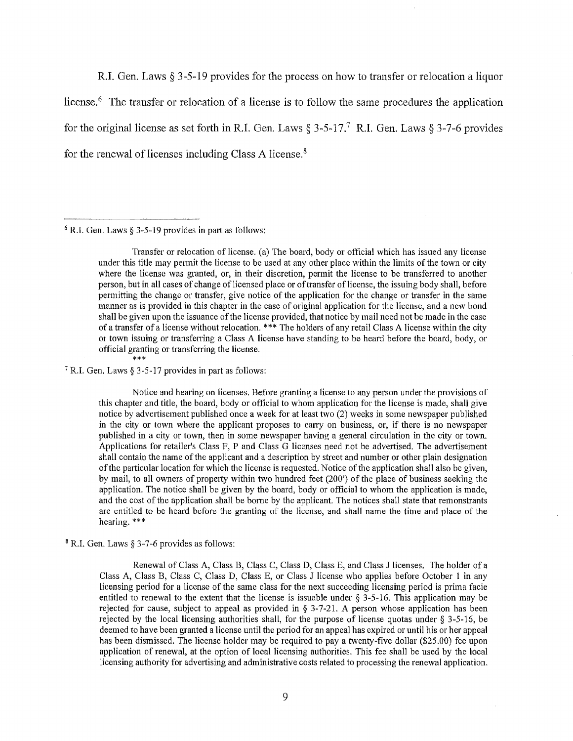R.I. Gen. Laws§ 3-5-19 provides for the process on how to transfer or relocation a liquor license.<sup>6</sup> The transfer or relocation of a license is to follow the same procedures the application for the original license as set forth in R.I. Gen. Laws §  $3-5-17$ .<sup>7</sup> R.I. Gen. Laws § 3-7-6 provides for the renewal of licenses including Class A license. 8

 $6$  R.I. Gen. Laws § 3-5-19 provides in part as follows:

Transfer or relocation of license. (a) The board, body or official which has issued any license under this title may permit the license to be used at any other place within the limits of the town or city where the license was granted, or, in their discretion, permit the license to be transferred to another person, but in all cases of change of licensed place or of transfer of license, the issuing body shall, before permitting the change or transfer, give notice of the application for the change or transfer in the same manner as is provided in this chapter in the case of original application for the license, and a new bond shall be given upon the issuance of the license provided, that notice by mail need not be made in the case of a transfer of a license without relocation. \*\*\* The holders of any retail Class A license within the city or town issuing or transferring a Class A license have standing to be heard before the board, body, or official granting or transferring the license.

<sup>7</sup> R.I. Gen. Laws § 3-5-17 provides in part as follows:

Notice and hearing on licenses. Before granting a license to any person under the provisions of this chapter and title, the board, body or official to whom application for the license is made, shall give notice by advertisement published once a week for at least two (2) weeks in some newspaper published in the city or town where the applicant proposes to carry on business, or, if there is no newspaper published in a city or town, then in some newspaper having a general circulation in the city or town. Applications for retailer's Class F, P and Class G licenses need not be advertised. The advertisement shall contain the name of the applicant and a description by street and number or other plain designation of the particular location for which the license is requested. Notice of the application shall also be given, by mail, to all owners of property within two hundred feet (200') of the place of business seeking the application. The notice shall be given by the board, body or official to whom the application is made, and the cost of the application shall be borne by the applicant. The notices shall state that remonstrants are entitled to be heard before the granting of the license, and shall name the time and place of the hearing. \*\*\*

8 R.I. Gen. Laws§ 3-7-6 provides as follows:

Renewal of Class A, Class B, Class C, Class D, Class E, and Class J licenses. The holder of a Class A, Class B, Class C, Class D, Class E, or Class J license who applies before October 1 in any licensing period for a license of the same class for the next succeeding licensing period is prima facie entitled to renewal to the extent that the license is issuable under  $\S$  3-5-16. This application may be rejected for cause, subject to appeal as provided in § 3-7-21. A person whose application has been rejected by the local licensing authorities shall, for the purpose of license quotas under § 3-5-16, be deemed to have been granted a license until the period for an appeal has expired or until his or her appeal has been dismissed. The license holder may be required to pay a twenty-five dollar (\$25.00) fee upon application of renewal, at the option of local licensing authorities. This fee shall be used by the local licensing authority for advertising and administrative costs related to processing the renewal application.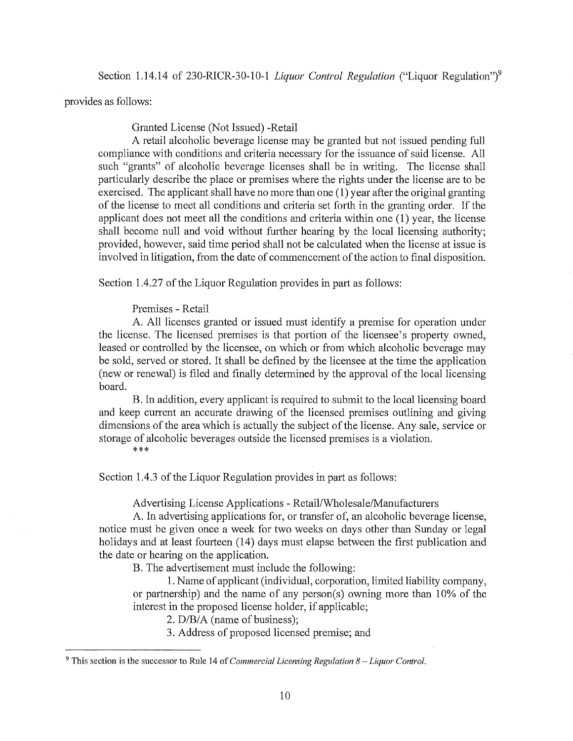provides as follows:

Granted License (Not Issued) -Retail

A retail alcoholic beverage license may be granted but not issued pending full compliance with conditions and criteria necessary for the issuance of said license. All such "grants" of alcoholic beverage licenses shall be in writing. The license shall particularly describe the place or premises where the rights under the license are to be exercised. The applicant shall have no more than one (1) year after the original granting of the license to meet all conditions and criteria set forth in the granting order. If the applicant does not meet all the conditions and criteria within one (1) year, the license shall become null and void without further hearing by the local licensing authority; provided, however, said time period shall not be calculated when the license at issue is involved in litigation, from the date of commencement of the action to final disposition.

Section 1.4.27 of the Liquor Regulation provides in part as follows:

Premises - Retail

A. All licenses granted or issued must identify a premise for operation under the license. The licensed premises is that portion of the licensee's property owned, leased or controlled by the licensee, on which or from which alcoholic beverage may be sold, served or stored. It shall be defined by the licensee at the time the application (new or renewal) is filed and finally determined by the approval of the local licensing board.

B. In addition, every applicant is required to submit to the local licensing board and keep current an accurate drawing of the licensed premises outlining and giving dimensions of the area which is actually the subject of the license. Any sale, service or storage of alcoholic beverages outside the licensed premises is a violation.

\*\*\*

Section 1.4.3 of the Liquor Regulation provides in part as follows:

Advertising License Applications - Retail/Wholesale/Manufacturers

A. In advertising applications for, or transfer of, an alcoholic beverage license, notice must be given once a week for two weeks on days other than Sunday or legal holidays and at least fourteen (14) days must elapse between the first publication and the date or hearing on the application.

B. The advertisement must include the following:

1. Name of applicant (individual, corporation, limited liability company, or partnership) and the name of any person(s) owning more than 10% of the interest in the proposed license holder, if applicable;

2. D/B/A (name of business);

3. Address of proposed licensed premise; and

<sup>9</sup>This section is the successor to Rule 14 of *Commercial Licensing Regulation 8 -Liquor Control.*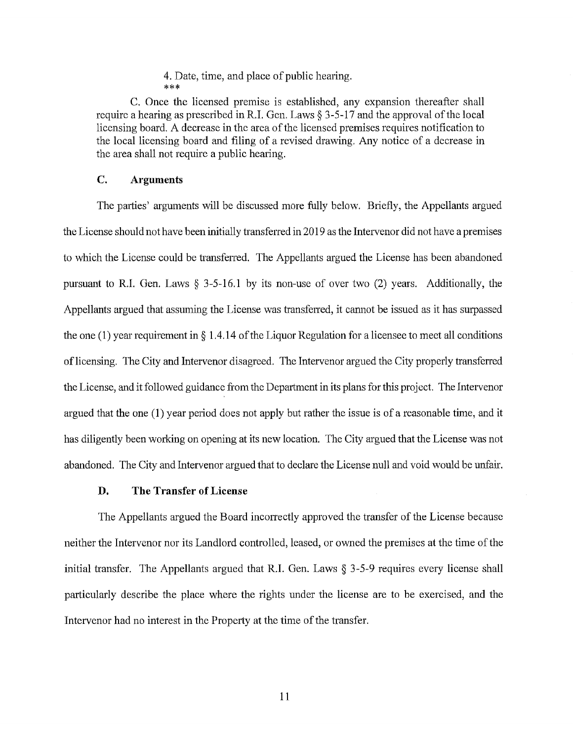4. Date, time, and place of public hearing. \*\*\*

C. Once the licensed premise is established, any expansion thereafter shall require a hearing as prescribed in R.I. Gen. Laws  $\S 3-5-17$  and the approval of the local licensing board. A decrease in the area of the licensed premises requires notification to the local licensing board and filing of a revised drawing. Any notice of a decrease in the area shall not require a public hearing.

### **C. Arguments**

The parties' arguments will be discussed more fully below. Briefly, the Appellants argued the License should not have been initially transferred in 2019 as the Intervenor did not have a premises to which the License could be transferred. The Appellants argued the License has been abandoned pursuant to R.I. Gen. Laws  $\S$  3-5-16.1 by its non-use of over two (2) years. Additionally, the Appellants argued that assuming the License was transferred, it cannot be issued as it has surpassed the one (1) year requirement in  $\S 1.4.14$  of the Liquor Regulation for a licensee to meet all conditions of licensing. The City and Intervenor disagreed. The Intervenor argued the City properly transferred the License, and it followed guidance from the Department in its plans for this project. The Intervenor argued that the one (1) year period does not apply but rather the issue is of a reasonable time, and it has diligently been working on opening at its new location. The City argued that the License was not abandoned. The City and Intervenor argued that to declare the License null and void would be unfair.

# **D. The Transfer of License**

The Appellants argued the Board incorrectly approved the transfer of the License because neither the Intervenor nor its Landlord controlled, leased, or owned the premises at the time of the initial transfer. The Appellants argued that R.I. Gen. Laws § 3-5-9 requires every license shall particularly describe the place where the rights under the license are to be exercised, and the Intervenor had no interest in the Property at the time of the transfer.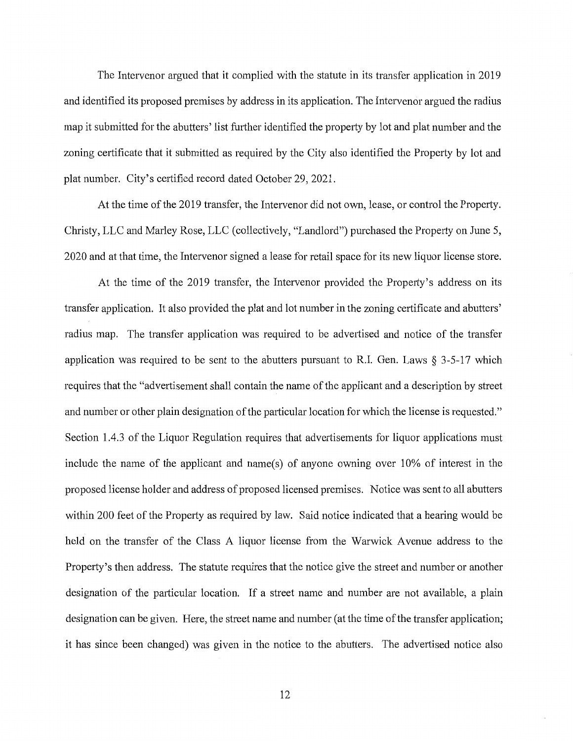The Intervenor argued that it complied with the statute in its transfer application in 2019 and identified its proposed premises by address in its application. The Intervenor argued the radius map it submitted for the abutters' list further identified the property by lot and plat number and the zoning certificate that it submitted as required by the City also identified the Property by lot and plat number. City's certified record dated October 29, 2021.

At the time of the 2019 transfer, the Intervenor did not own, lease, or control the Property. Christy, LLC and Marley Rose, LLC (collectively, "Landlord") purchased the Property on June 5, 2020 and at that time, the Intervenor signed a lease for retail space for its new liquor license store.

At the time of the 2019 transfer, the Intervenor provided the Property's address on its transfer application. It also provided the plat and lot number in the zoning certificate and abutters' radius map. The transfer application was required to be advertised and notice of the transfer application was required to be sent to the abutters pursuant to R.I. Gen. Laws  $\S$  3-5-17 which requires that the "advertisement shall contain the name of the applicant and a description by street and number or other plain designation of the particular location for which the license is requested." Section 1.4.3 of the Liquor Regulation requires that advertisements for liquor applications must include the name of the applicant and name(s) of anyone owning over 10% of interest in the proposed license holder and address of proposed licensed premises. Notice was sent to all abutters within 200 feet of the Property as required by law. Said notice indicated that a hearing would be held on the transfer of the Class A liquor license from the Warwick Avenue address to the Property's then address. The statute requires that the notice give the street and number or another designation of the particular location. If a street name and number are not available, a plain designation can be given. Here, the street name and number (at the time of the transfer application; it has since been changed) was given in the notice to the abutters. The advertised notice also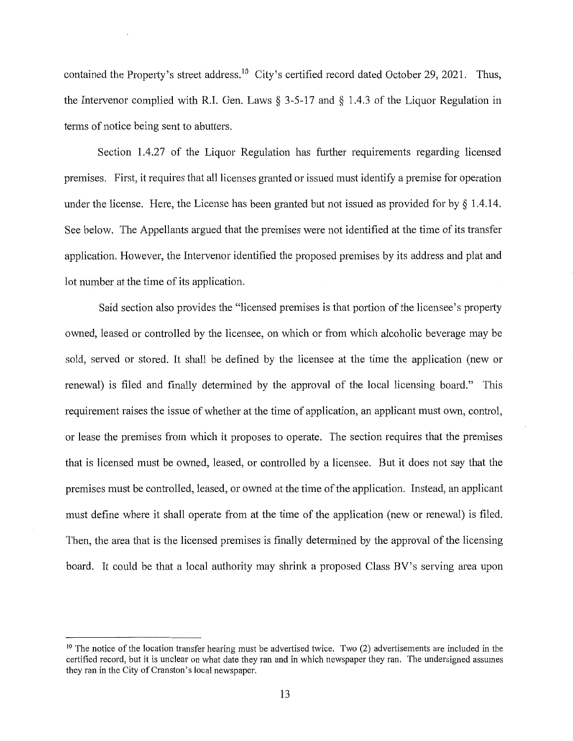contained the Property's street address.<sup>10</sup> City's certified record dated October 29, 2021. Thus, the Intervenor complied with R.I. Gen. Laws  $\S$  3-5-17 and  $\S$  1.4.3 of the Liquor Regulation in terms of notice being sent to abutters.

Section 1.4.27 of the Liquor Regulation has further requirements regarding licensed premises. First, it requires that all licenses granted or issued must identify a premise for operation under the license. Here, the License has been granted but not issued as provided for by§ 1.4.14. See below. The Appellants argued that the premises were not identified at the time of its transfer application. However, the Intervenor identified the proposed premises by its address and plat and lot number at the time of its application.

Said section also provides the "licensed premises is that portion of the licensee's property owned, leased or controlled by the licensee, on which or from which alcoholic beverage may be sold, served or stored. It shall be defined by the licensee at the time the application (new or renewal) is filed and finally determined by the approval of the local licensing board." This requirement raises the issue of whether at the time of application, an applicant must own, control, or lease the premises from which it proposes to operate. The section requires that the premises that is licensed must be owned, leased, or controlled by a licensee. But it does not say that the premises must be controlled, leased, or owned at the time of the application. Instead, an applicant must define where it shall operate from at the time of the application (new or renewal) is filed. Then, the area that is the licensed premises is finally determined by the approval of the licensing board. It could be that a local authority may shrink a proposed Class BV's serving area upon

<sup>&</sup>lt;sup>10</sup> The notice of the location transfer hearing must be advertised twice. Two (2) advertisements are included in the certified record, but it is unclear on what date they ran and in which newspaper they ran. The undersigned assumes they ran in the City of Cranston's local newspaper.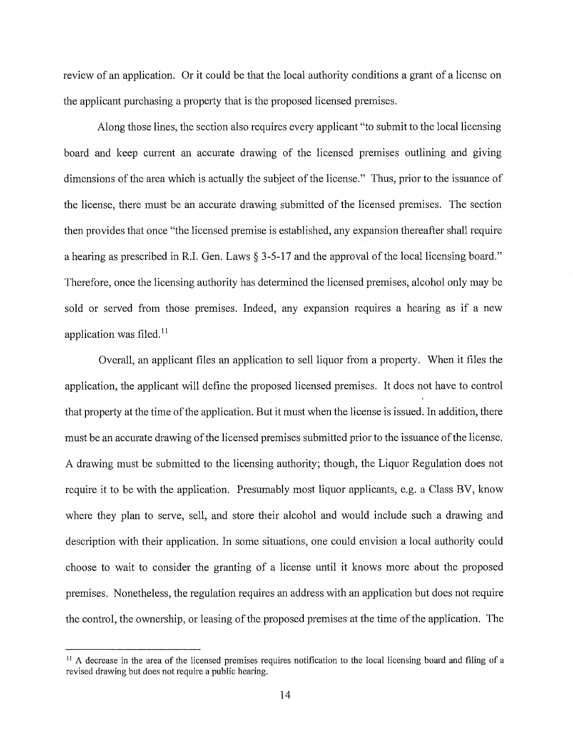review of an application. Or it could be that the local authority conditions a grant of a license on the applicant purchasing a property that is the proposed licensed premises.

Along those lines, the section also requires every applicant "to submit to the local licensing board and keep current an accurate drawing of the licensed premises outlining and giving dimensions of the area which is actually the subject of the license." Thus, prior to the issuance of the license, there must be an accurate drawing submitted of the licensed premises. The section then provides that once "the licensed premise is established, any expansion thereafter shall require a hearing as prescribed in R.I. Gen. Laws§ 3-5-17 and the approval of the local licensing board." Therefore, once the licensing authority has determined the licensed premises, alcohol only may be sold or served from those premises. Indeed, any expansion requires a hearing as if a new application was filed. $11$ 

Overall, an applicant files an application to sell liquor from a property. When it files the application, the applicant will define the proposed licensed premises. It does not have to control that property at the time of the application. But it must when the license is issued. In addition, there must be an accurate drawing of the licensed premises submitted prior to the issuance of the license. A drawing must be submitted to the licensing authority; though, the Liquor Regulation does not require it to be with the application. Presumably most liquor applicants, e.g. a Class BV, know where they plan to serve, sell, and store their alcohol and would include such a drawing and description with their application. In some situations, one could envision a local authority could choose to wait to consider the granting of a license until it knows more about the proposed premises. Nonetheless, the regulation requires an address with an application but does not require the control, the ownership, or leasing of the proposed premises at the time of the application. The

<sup>&</sup>lt;sup>11</sup> A decrease in the area of the licensed premises requires notification to the local licensing board and filing of a revised drawing but does not require a public hearing.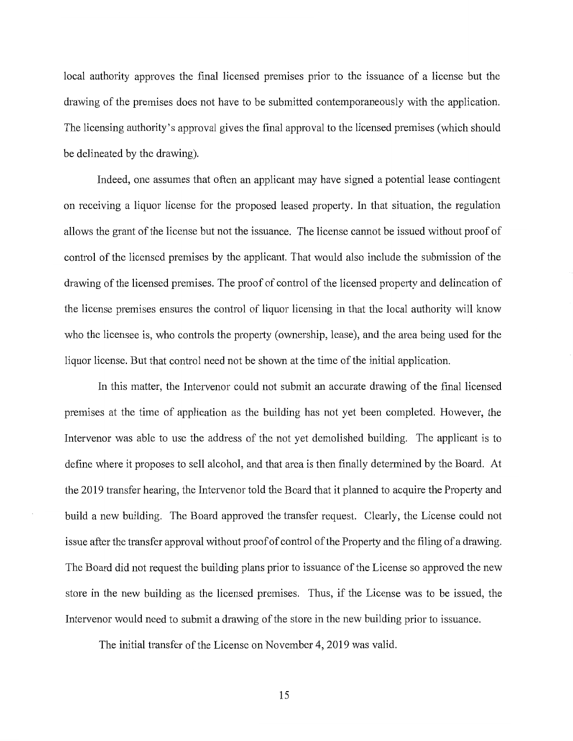local authority approves the final licensed premises prior to the issuance of a license but the drawing of the premises does not have to be submitted contemporaneously with the application. The licensing authority's approval gives the final approval to the licensed premises (which should be delineated by the drawing).

Indeed, one assumes that often an applicant may have signed a potential lease contingent on receiving a liquor license for the proposed leased property. In that situation, the regulation allows the grant of the license but not the issuance. The license cannot be issued without proof of control of the licensed premises by the applicant. That would also include the submission of the drawing of the licensed premises. The proof of control of the licensed property and delineation of the license premises ensures the control of liquor licensing in that the local authority will know who the licensee is, who controls the property (ownership, lease), and the area being used for the liquor license. But that control need not be shown at the time of the initial application.

In this matter, the Intervenor could not submit an accurate drawing of the final licensed premises at the time of application as the building has not yet been completed. However, the Intervenor was able to use the address of the not yet demolished building. The applicant is to define where it proposes to sell alcohol, and that area is then finally determined by the Board. At the 2019 transfer hearing, the Intervenor told the Board that it planned to acquire the Property and build a new building. The Board approved the transfer request. Clearly, the License could not issue after the transfer approval without proof of control of the Property and the filing of a drawing. The Board did not request the building plans prior to issuance of the License so approved the new store in the new building as the licensed premises. Thus, if the License was to be issued, the Intervenor would need to submit a drawing of the store in the new building prior to issuance.

The initial transfer of the License on November 4, 2019 was valid.

15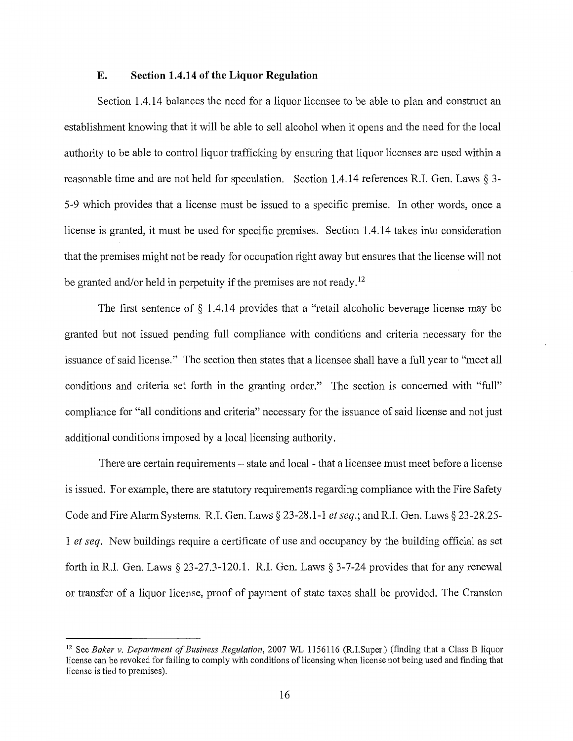## **E. Section 1.4.14 of the Liquor Regulation**

Section 1.4.14 balances the need for a liquor licensee to be able to plan and construct an establishment knowing that it will be able to sell alcohol when it opens and the need for the local authority to be able to control liquor trafficking by ensuring that liquor licenses are used within a reasonable time and are not held for speculation. Section 1.4.14 references R.I. Gen. Laws§ 3- 5-9 which provides that a license must be issued to a specific premise. In other words, once a license is granted, it must be used for specific premises. Section 1.4.14 takes into consideration that the premises might not be ready for occupation right away but ensures that the license will not be granted and/or held in perpetuity if the premises are not ready.<sup>12</sup>

The first sentence of § 1 .4.14 provides that a "retail alcoholic beverage license may be granted but not issued pending full compliance with conditions and criteria necessary for the issuance of said license." The section then states that a licensee shall have a full year to "meet all conditions and criteria set forth in the granting order." The section is concerned with "full" compliance for "all conditions and criteria" necessary for the issuance of said license and not just additional conditions imposed by a local licensing authority.

There are certain requirements – state and local - that a licensee must meet before a license is issued. For example, there are statutory requirements regarding compliance with the Fire Safety Code and Fire Alarm Systems. R.I. Gen. Laws§ 23-28.1-1 *et seq.;* andR.I. Gen. Laws§ 23-28.25- 1 *et seq.* New buildings require a certificate of use and occupancy by the building official as set forth in R.I. Gen. Laws  $\S 23-27.3-120.1$ . R.I. Gen. Laws  $\S 3-7-24$  provides that for any renewal or transfer of a liquor license, proof of payment of state taxes shall be provided. The Cranston

<sup>12</sup> See *Baker v. Department of Business Regulation,* 2007 WL 1156116 (R.I.Super.) (finding that a Class B liquor license can be revoked for failing to comply with conditions of licensing when license not being used and finding that license is tied to premises).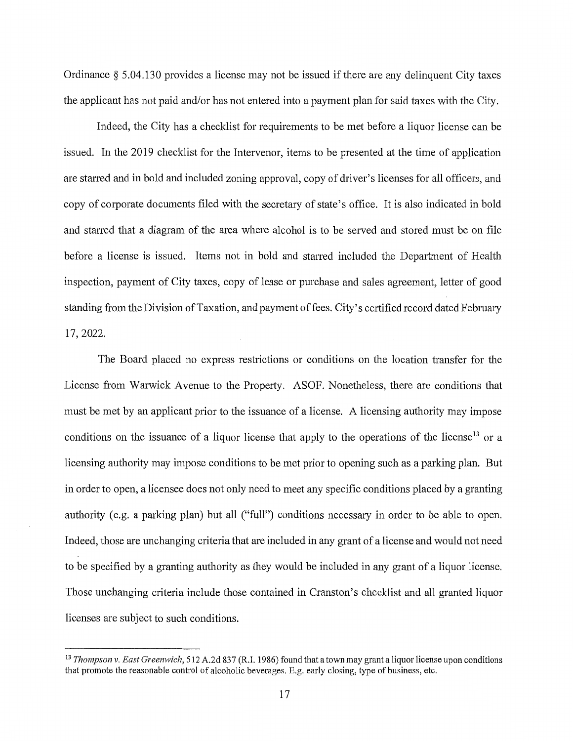Ordinance  $\S 5.04.130$  provides a license may not be issued if there are any delinquent City taxes the applicant has not paid and/or has not entered into a payment plan for said taxes with the City.

Indeed, the City has a checklist for requirements to be met before a liquor license can be issued. In the 2019 checklist for the Intervenor, items to be presented at the time of application are starred and in bold and included zoning approval, copy of driver's licenses for all officers, and copy of corporate documents filed with the secretary of state's office. It is also indicated in bold and starred that a diagram of the area where alcohol is to be served and stored must be on file before a license is issued. Items not in bold and starred included the Department of Health inspection, payment of City taxes, copy of lease or purchase and sales agreement, letter of good standing from the Division of Taxation, and payment of fees. City's certified record dated February 17, 2022.

The Board placed no express restrictions or conditions on the location transfer for the License from Warwick Avenue to the Property. ASOF. Nonetheless, there are conditions that must be met by an applicant prior to the issuance of a license. A licensing authority may impose conditions on the issuance of a liquor license that apply to the operations of the license<sup>13</sup> or a licensing authority may impose conditions to be met prior to opening such as a parking plan. But in order to open, a licensee does not only need to meet any specific conditions placed by a granting authority (e.g. a parking plan) but all ("full") conditions necessary in order to be able to open. Indeed, those are unchanging criteria that are included in any grant of a license and would not need to be specified by a granting authority as they would be included in any grant of a liquor license. Those unchanging criteria include those contained in Cranston's checklist and all granted liquor licenses are subject to such conditions.

<sup>13</sup>*Thompson v. East Greenwich,* 512 A.2d 837 (R.l. 1986) found that a town may grant a liquor license upon conditions that promote the reasonable control of alcoholic beverages. E.g. early closing, type of business, etc.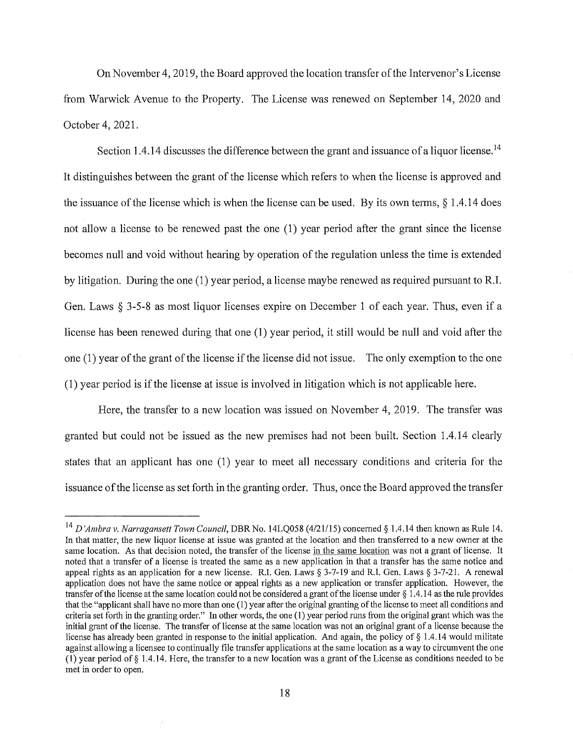On November 4, 2019, the Board approved the location transfer of the Intervenor's License from Warwick Avenue to the Property. The License was renewed on September 14, 2020 and October 4, 2021.

Section 1.4.14 discusses the difference between the grant and issuance of a liquor license.<sup>14</sup> It distinguishes between the grant of the license which refers to when the license is approved and the issuance of the license which is when the license can be used. By its own terms,  $\S$  1.4.14 does not allow a license to be renewed past the one (1) year period after the grant since the license becomes null and void without hearing by operation of the regulation unless the time is extended by litigation. During the one (1) year period, a license maybe renewed as required pursuant to R.I. Gen. Laws § 3-5-8 as most liquor licenses expire on December 1 of each year. Thus, even if a license has been renewed during that one (1) year period, it still would be null and void after the one (1) year of the grant of the license if the license did not issue. The only exemption to the one (1) year period is if the license at issue is involved in litigation which is not applicable here.

Here, the transfer to a new location was issued on November 4, 2019. The transfer was granted but could not be issued as the new premises had not been built. Section 1.4.14 clearly states that an applicant has one (1) year to meet all necessary conditions and criteria for the issuance of the license as set forth in the granting order. Thus, once the Board approved the transfer

<sup>14</sup>*D 'Ambra v. Narragansett Town Council,* DBR No. 14LQ058 (4/21/15) concerned§ 1.4.14 then known as Rule 14. In that matter, the new liquor license at issue was granted at the location and then transferred to a new owner at the same location. As that decision noted, the transfer of the license in the same location was not a grant of license. It noted that a transfer of a license is treated the same as a new application in that a transfer has the same notice and appeal rights as an application for a new license. R.I. Gen. Laws§ 3-7-19 and R.I. Gen. Laws§ 3-7-21. A renewal application does not have the same notice or appeal rights as a new application or transfer application. However, the transfer of the license at the same location could not be considered a grant of the license under§ 1 .4.14 as the rnle provides that the "applicant shall have no more than one (1) year after the original granting of the license to meet all conditions and criteria set fotih in the granting order." In other words, the one (1) year period runs from the original grant which was the initial grant of the license. The transfer of license at the same location was not an original grant of a license because the license has already been granted in response to the initial application. And again, the policy of  $\S$  1.4.14 would militate against allowing a licensee to continually file transfer applications at the same location as a way to circumvent the one (1) year period of§ 1.4.14. Here, the transfer to a new location was a grant of the License as conditions needed to be met in order to open.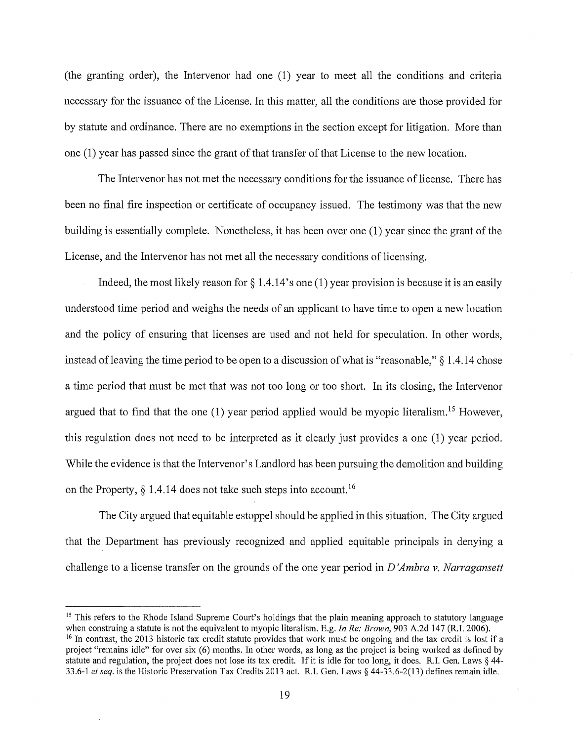(the granting order), the Intervenor had one (1) year to meet all the conditions and criteria necessary for the issuance of the License. In this matter, all the conditions are those provided for by statute and ordinance. There are no exemptions in the section except for litigation. More than one (1) year has passed since the grant of that transfer of that License to the new location.

The Intervenor has not met the necessary conditions for the issuance of license. There has been no final fire inspection or certificate of occupancy issued. The testimony was that the new building is essentially complete. Nonetheless, it has been over one (1) year since the grant of the License, and the Intervenor has not met all the necessary conditions of licensing.

Indeed, the most likely reason for  $\S 1.4.14$ 's one (1) year provision is because it is an easily understood time period and weighs the needs of an applicant to have time to open a new location and the policy of ensuring that licenses are used and not held for speculation. In other words, instead of leaving the time period to be open to a discussion of what is "reasonable,"§ 1.4.14 chose a time period that must be met that was not too long or too short. In its closing, the Intervenor argued that to find that the one  $(1)$  year period applied would be myopic literalism.<sup>15</sup> However, this regulation does not need to be interpreted as it clearly just provides a one (1) year period. While the evidence is that the Intervenor's Landlord has been pursuing the demolition and building on the Property,  $\S$  1.4.14 does not take such steps into account.<sup>16</sup>

The City argued that equitable estoppel should be applied in this situation. The City argued that the Department has previously recognized and applied equitable principals in denying a challenge to a license transfer on the grounds of the one year period in *D 'Ambra v. Narragansett* 

<sup>15</sup> This refers to the Rhode Island Supreme Court's holdings that the plain meaning approach to statutory language when construing a statute is not the equivalent to myopic literalism. E.g. *In Re: Brown*, 903 A.2d 147 ( <sup>16</sup> In contrast, the 2013 historic tax credit statute provides that work must be ongoing and the tax credit is lost if a project "remains idle" for over six (6) months. In other words, as long as the project is being worked as defmed by statute and regulation, the project does not lose its tax credit. If it is idle for too long, it does. R.I. Gen. Laws § 44- 33 .6-1 *et seq.* is the Historic Preservation Tax Credits 2013 act. R.I. Gen. Laws§ 44-33.6-2(13) defmes remain idle.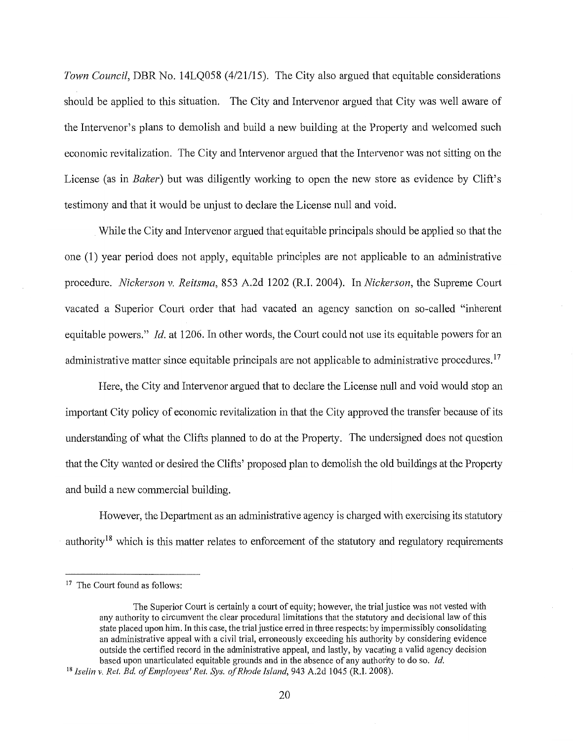*Town Council,* DBR No. 14LQ058 (4/21/15). The City also argued that equitable considerations should be applied to this situation. The City and Intervenor argued that City was well aware of the Intervenor's plans to demolish and build a new building at the Property and welcomed such economic revitalization. The City and Intervenor argued that the Intervenor was not sitting on the License (as in *Baker*) but was diligently working to open the new store as evidence by Clift's testimony and that it would be unjust to declare the License null and void.

While the City and Intervenor argued that equitable principals should be applied so that the one (1) year period does not apply, equitable principles are not applicable to an administrative procedure. *Nickerson v. Reitsma,* 853 A.2d 1202 (R.I. 2004). In *Nickerson,* the Supreme Court vacated a Superior Court order that had vacated an agency sanction on so-called "inherent equitable powers." *Id.* at 1206. In other words, the Court could not use its equitable powers for an administrative matter since equitable principals are not applicable to administrative procedures.<sup>17</sup>

Here, the City and Intervenor argued that to declare the License null and void would stop an important City policy of economic revitalization in that the City approved the transfer because of its understanding of what the Clifts planned to do at the Property. The undersigned does not question that the City wanted or desired the Clifts' proposed plan to demolish the old buildings at the Property and build a new commercial building.

However, the Department as an administrative agency is charged with exercising its statutory authority<sup>18</sup> which is this matter relates to enforcement of the statutory and regulatory requirements

<sup>&</sup>lt;sup>17</sup> The Court found as follows:

The Superior Court is certainly a court of equity; however, the trial justice was not vested with any authority to circumvent the clear procedural limitations that the statutory and decisional law of this state placed upon him. In this case, the trial justice erred in three respects: by impennissibly consolidating an administrative appeal with a civil trial, erroneously exceeding his authority by considering evidence outside the certified record in the administrative appeal, and lastly, by vacating a valid agency decision based upon unarticulated equitable grounds and in the absence of any authority to do so. *Id.* 

<sup>&</sup>lt;sup>18</sup> Iselin v. Ret. Bd. of Employees' Ret. Sys. of Rhode Island, 943 A.2d 1045 (R.I. 2008).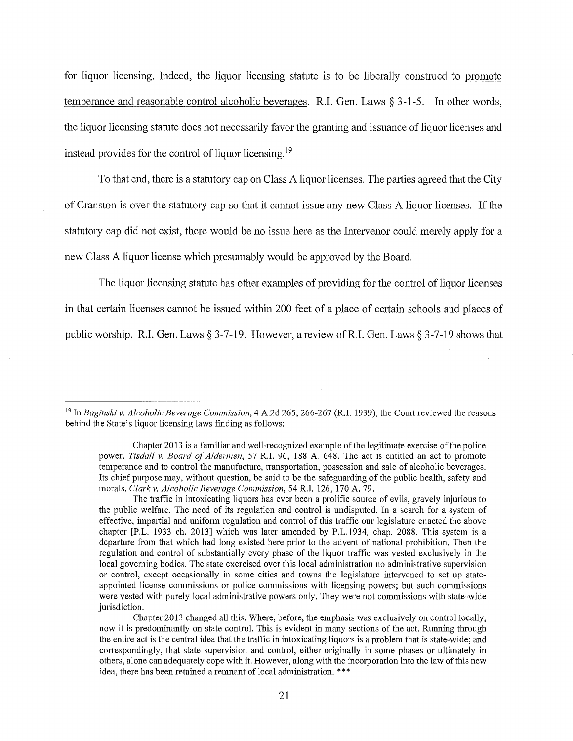for liquor licensing. Indeed, the liquor licensing statute is to be liberally construed to promote temperance and reasonable control alcoholic beverages. R.I. Gen. Laws § 3-1-5. In other words, the liquor licensing statute does not necessarily favor the granting and issuance of liquor licenses and instead provides for the control of liquor licensing.<sup>19</sup>

To that end, there is a statutory cap on Class A liquor licenses. The patties agreed that the City of Cranston is over the statutory cap so that it cannot issue any new Class A liquor licenses. If the statutory cap did not exist, there would be no issue here as the Intervenor could merely apply for a new Class A liquor license which presumably would be approved by the Board.

The liquor licensing statute has other examples of providing for the control of liquor licenses in that certain licenses cannot be issued within 200 feet of a place of certain schools and places of public worship. R.I. Gen. Laws § 3-7-19. However, a review of R.I. Gen. Laws § 3-7-19 shows that

19 In *Baginski v. Alcoholic Beverage Commission,* 4 A.2d 265, 266-267 (R.I. 1939), the Court reviewed the reasons behind the State's liquor licensing laws finding as follows:

Chapter 2013 is a familiar and well-recognized example of the legitimate exercise of the police power. *Tisdal! v. Board of Aldermen,* 57 R.I. 96, 188 A. 648. The act is entitled an act to promote temperance and to control the manufacture, transportation, possession and sale of alcoholic beverages. Its chief purpose may, without question, be said to be the safeguarding of the public health, safety and morals. *Clark v. Alcoholic Beverage Commission,* 54 R.I. 126, 170 A. 79.

The traffic in intoxicating liquors has ever been a prolific source of evils, gravely injurious to the public welfare. The need of its regulation and control is undisputed. In a search for a system of effective, impartial and uniform regulation and control of this traffic our legislature enacted the above chapter [P.L. 1933 ch. 2013] which was later amended by P.L.1934, chap. 2088. This system is a departure from that which had long existed here prior to the advent of national prohibition. Then the regulation and control of substantially every phase of the liquor traffic was vested exclusively in the local governing bodies. The state exercised over this local administration no administrative supervision or control, except occasionally in some cities and towns the legislature intervened to set up stateappointed license commissions or police commissions with licensing powers; but such commissions were vested with purely local administrative powers only. They were not commissions with state-wide jurisdiction.

Chapter 2013 changed all this. Where, before, the emphasis was exclusively on control locally, now it is predominantly on state control. This is evident in many sections of the act. Running through the entire act is the central idea that the traffic in intoxicating liquors is a problem that is state-wide; and correspondingly, that state supervision and control, either originally in some phases or ultimately in others, alone can adequately cope with it. However, along with the incorporation into the law of this new idea, there has been retained a remnant of local administration. \*\*\*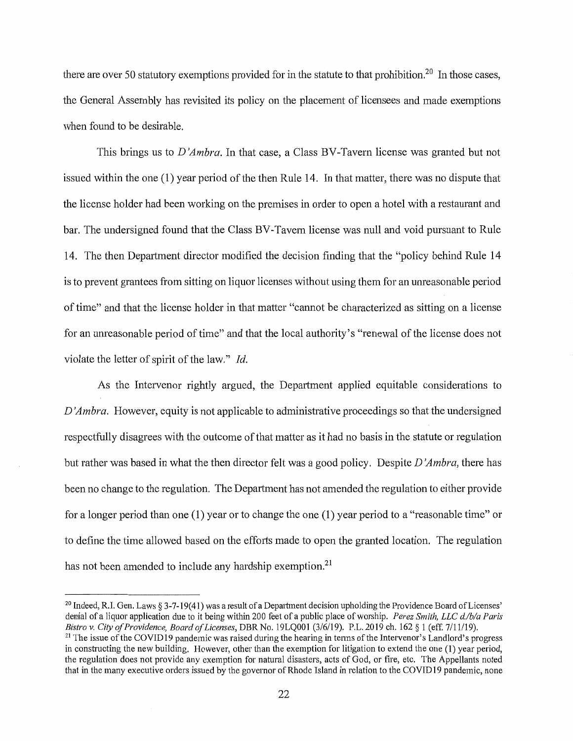there are over 50 statutory exemptions provided for in the statute to that prohibition.<sup>20</sup> In those cases, the General Assembly has revisited its policy on the placement of licensees and made exemptions when found to be desirable.

This brings us to *D 'Ambra.* In that case, a Class BY-Tavern license was granted but not issued within the one (1) year period of the then Rule 14. In that matter, there was no dispute that the license holder had been working on the premises in order to open a hotel with a restaurant and bar. The undersigned found that the Class BV-Tavem license was null and void pursuant to Rule 14. The then Department director modified the decision finding that the "policy behind Rule 14 is to prevent grantees from sitting on liquor licenses without using them for an unreasonable period of time" and that the license holder in that matter "cannot be characterized as sitting on a license for an unreasonable period of time" and that the local authority's "renewal of the license does not violate the letter of spirit of the law." *Id.* 

As the Intervenor rightly argued, the Department applied equitable considerations to *D 'Ambra.* However, equity is not applicable to administrative proceedings so that the undersigned respectfully disagrees with the outcome of that matter as it had no basis in the statute or regulation but rather was based in what the then director felt was a good policy. Despite *D 'Ambra,* there has been no change to the regulation. The Department has not amended the regulation to either provide for a longer period than one (1) year or to change the one (1) year period to a "reasonable time" or to define the time allowed based on the efforts made to open the granted location. The regulation has not been amended to include any hardship exemption.<sup>21</sup>

 $20$  Indeed, R.I. Gen. Laws  $\S 3-7-19(41)$  was a result of a Department decision upholding the Providence Board of Licenses' denial of a liquor application due to it being within 200 feet of a public place of worship. *Perez Smith, LLC d./b/a Paris Bistro v. City of Providence, Board of Licenses*, DBR No. 19LQ001 (3/6/19). P.L. 2019 ch. 162 § 1

<sup>&</sup>lt;sup>21</sup> The issue of the COVID19 pandemic was raised during the hearing in terms of the Intervenor's Landlord's progress in constructing the new building. However, other than the exemption for litigation to extend the one (1) year period, the regulation does not provide any exemption for natural disasters, acts of God, or fire, etc. The Appellants noted that in the many executive orders issued by the governor of Rhode Island in relation to the COVID19 pandemic, none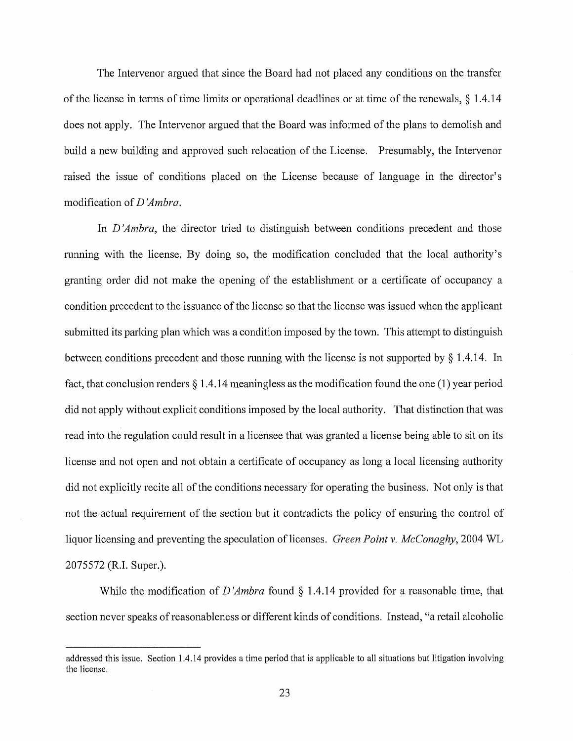The Intervenor argued that since the Board had not placed any conditions on the transfer of the license in terms of time limits or operational deadlines or at time of the renewals, § 1.4.14 does not apply. The Intervenor argued that the Board was informed of the plans to demolish and build a new building and approved such relocation of the License. Presumably, the Intervenor raised the issue of conditions placed on the License because of language in the director's modification of *D 'Ambra.* 

In *D'Ambra*, the director tried to distinguish between conditions precedent and those running with the license. By doing so, the modification concluded that the local authority's granting order did not make the opening of the establishment or a certificate of occupancy a condition precedent to the issuance of the license so that the license was issued when the applicant submitted its parking plan which was a condition imposed by the town. This attempt to distinguish between conditions precedent and those running with the license is not supported by § 1.4.14. In fact, that conclusion renders § 1.4.14 meaningless as the modification found the one (1) year period did not apply without explicit conditions imposed by the local authority. That distinction that was read into the regulation could result in a licensee that was granted a license being able to sit on its license and not open and not obtain a certificate of occupancy as long a local licensing authority did not explicitly recite all of the conditions necessary for operating the business. Not only is that not the actual requirement of the section but it contradicts the policy of ensuring the control of liquor licensing and preventing the speculation oflicenses. *Green Point v. McConaghy,* 2004 WL 2075572 (R.I. Super.).

While the modification of *D 'Ambra* found § 1.4.14 provided for a reasonable time, that section never speaks of reasonableness or different kinds of conditions. Instead, "a retail alcoholic

addressed this issue. Section 1 .4.14 provides a time period that is applicable to all situations but litigation involving the license.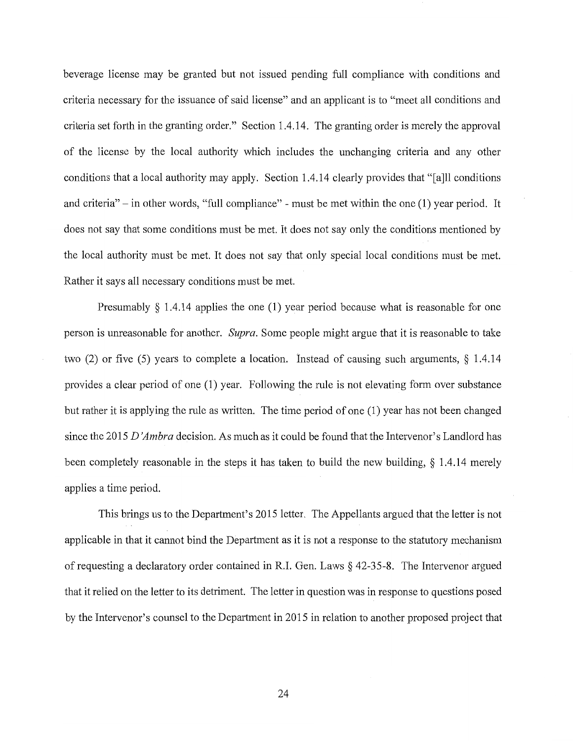beverage license may be granted but not issued pending full compliance with conditions and criteria necessary for the issuance of said license" and an applicant is to "meet all conditions and criteria set forth in the granting order." Section 1.4.14. The granting order is merely the approval of the license by the local authority which includes the unchanging criteria and any other conditions that a local authority may apply. Section 1.4.14 clearly provides that "[a]ll conditions and criteria" - in other words, "full compliance" - must be met within the one (1) year period. It does not say that some conditions must be met. It does not say only the conditions mentioned by the local authority must be met. It does not say that only special local conditions must be met. Rather it says all necessary conditions must be met.

Presumably  $\S$  1.4.14 applies the one (1) year period because what is reasonable for one person is unreasonable for another. *Supra.* Some people might argue that it is reasonable to take two (2) or five (5) years to complete a location. Instead of causing such arguments, § 1.4.14 provides a clear period of one (1) year. Following the rule is not elevating form over substance but rather it is applying the rule as written. The time period of one (1) year has not been changed since the 2015 *D 'Am bra* decision. As much as it could be found that the Intervenor's Landlord has been completely reasonable in the steps it has taken to build the new building, § 1 .4.14 merely applies a time period.

This brings us to the Department's 2015 letter. The Appellants argued that the letter is not applicable in that it cannot bind the Department as it is not a response to the statutory mechanism of requesting a declaratory order contained in R.I. Gen. Laws § 42-35-8. The Intervenor argued that it relied on the letter to its detriment. The letter in question was in response to questions posed by the Intervenor's counsel to the Depatiment in 2015 in relation to another proposed project that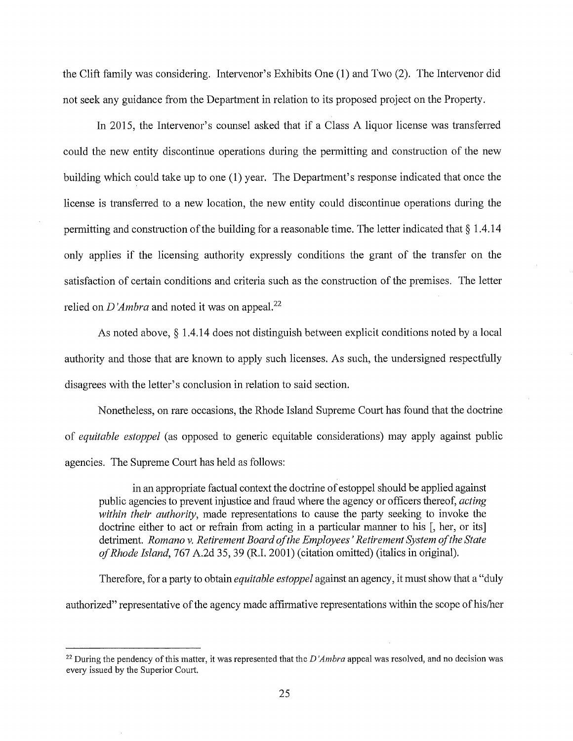the Clift family was considering. Intervenor's Exhibits One (1) and Two (2). The Intervenor did not seek any guidance from the Depatiment in relation to its proposed project on the Property.

In 2015, the Intervenor's counsel asked that if a Class A liquor license was transferred could the new entity discontinue operations during the permitting and construction of the new building which could take up to one (1) year. The Department's response indicated that once the license is transferred to a new location, the new entity could discontinue operations during the permitting and construction of the building for a reasonable time. The letter indicated that§ 1.4.14 only applies if the licensing authority expressly conditions the grant of the transfer on the satisfaction of certain conditions and criteria such as the construction of the premises. The letter relied on *D'Ambra* and noted it was on appeal.<sup>22</sup>

As noted above, § 1.4.14 does not distinguish between explicit conditions noted by a local authority and those that are known to apply such licenses. As such, the undersigned respectfully disagrees with the letter's conclusion in relation to said section.

Nonetheless, on rare occasions, the Rhode Island Supreme Court has found that the doctrine of *equitable estoppel* (as opposed to generic equitable considerations) may apply against public agencies. The Supreme Court has held as follows:

in an appropriate factual context the doctrine of estoppel should be applied against public agencies to prevent injustice and fraud where the agency or officers thereof, *acting within their authority,* made representations to cause the party seeking to invoke the doctrine either to act or refrain from acting in a particular manner to his [, her, or its] detriment. *Romanov. Retirement Board of the Employees' Retirement System of the State of Rhode Island,* 767 A.2d 35, 39 (R.I. 2001) (citation omitted) (italics in original).

Therefore, for a party to obtain *equitable estoppel* against an agency, it must show that a "duly" authorized" representative of the agency made affirmative representations within the scope of his/her

<sup>&</sup>lt;sup>22</sup> During the pendency of this matter, it was represented that the *D'Ambra* appeal was resolved, and no decision was every issued by the Superior Court.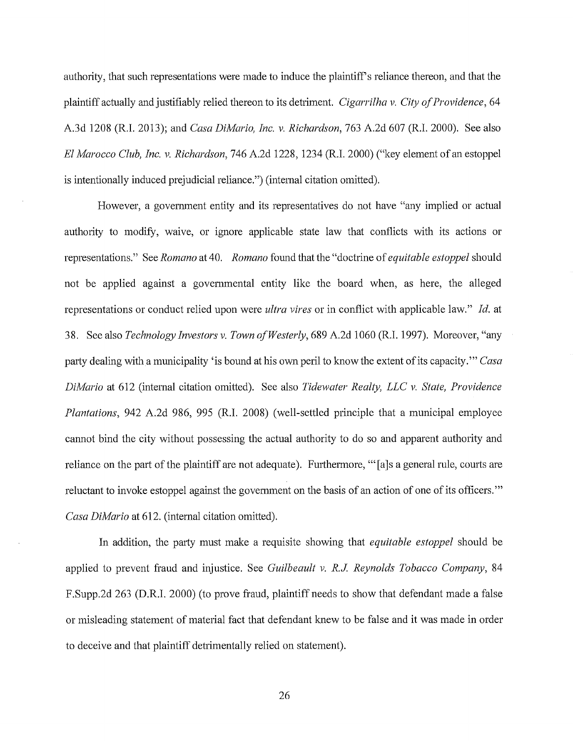authority, that such representations were made to induce the plaintiff's reliance thereon, and that the plaintiff actually and justifiably relied thereon to its detriment. *Cigarrilha v. City of Providence,* 64 A.3d 1208 (R.I. 2013); and *Casa DiMario, Inc. v. Richardson,* 763 A.2d 607 (R.I. 2000). See also *El Marocco Club, Inc. v. Richardson,* 746 A.2d 1228, 1234 (R.I. 2000) ("key element of an estoppel is intentionally induced prejudicial reliance.") (internal citation omitted).

However, a government entity and its representatives do not have "any implied or actual authority to modify, waive, or ignore applicable state law that conflicts with its actions or representations." See *Romano* at 40. *Romano* found that the "doctrine of *equitable estoppel* should not be applied against a governmental entity like the board when, as here, the alleged representations or conduct relied upon were *ultra vires* or in conflict with applicable law." *Id.* at 38. See also *Technology Investors v. Town of Westerly,* 689 A.2d 1060 (R.I. 1997). Moreover, "any party dealing with a municipality 'is bound at his own peril to know the extent of its capacity.'" *Casa DiMario* at 612 (internal citation omitted). See also *Tidewater Realty, LLC v. State, Providence Plantations,* 942 A.2d 986, 995 (R.I. 2008) (well-settled principle that a municipal employee cannot bind the city without possessing the actual authority to do so and apparent authority and reliance on the part of the plaintiff are not adequate). Furthermore, "[a]s a general rule, courts are reluctant to invoke estoppel against the government on the basis of an action of one of its officers."' *Casa DiMario* at 612. (internal citation omitted).

In addition, the party must make a requisite showing that *equitable estoppel* should be applied to prevent fraud and injustice. See *Guilbeault v. R.J Reynolds Tobacco Company,* 84 F.Supp.2d 263 (D.R.I. 2000) (to prove fraud, plaintiff needs to show that defendant made a false or misleading statement of material fact that defendant knew to be false and it was made in order to deceive and that plaintiff detrimentally relied on statement).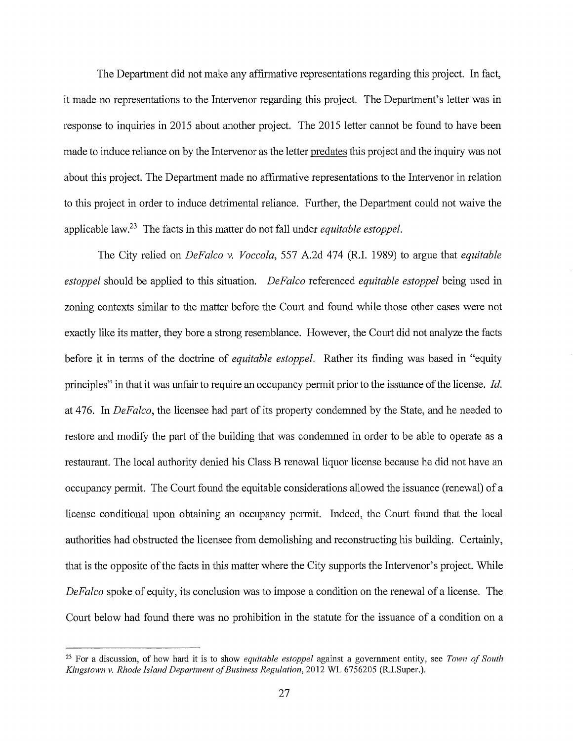The Department did not make any affirmative representations regarding this project. In fact, it made no representations to the Intervenor regarding this project. The Department's letter was in response to inquiries in 2015 about another project. The 2015 letter cannot be found to have been made to induce reliance on by the Intervenor as the letter predates this project and the inquiry was not about this project. The Department made no affirmative representations to the Intervenor in relation to this project in order to induce detrimental reliance. Further, the Department could not waive the applicable law.23 The facts in this matter do not fall under *equitable estoppel.* 

The City relied on *DeFalco v. Voccola,* 557 A.2d 474 (R.I. 1989) to argue that *equitable estoppel* should be applied to this situation. *DeFalco* referenced *equitable estoppel* being used in zoning contexts similar to the matter before the Court and found while those other cases were not exactly like its matter, they bore a strong resemblance. However, the Court did not analyze the facts before it in terms of the doctrine of *equitable estoppel.* Rather its finding was based in "equity principles" in that it was unfair to require an occupancy permit prior to the issuance of the license. *Id.*  at 476. In *DeFalco,* the licensee had part of its property condemned by the State, and he needed to restore and modify the part of the building that was condemned in order to be able to operate as a restaurant. The local authority denied his Class B renewal liquor license because he did not have an occupancy permit. The Court found the equitable considerations allowed the issuance (renewal) of a license conditional upon obtaining an occupancy permit. Indeed, the Court found that the local authorities had obstructed the licensee from demolishing and reconstructing his building. Certainly, that is the opposite of the facts in this matter where the City supports the Intervenor's project. While *DeFalco* spoke of equity, its conclusion was to impose a condition on the renewal of a license. The Court below had found there was no prohibition in the statute for the issuance of a condition on a

<sup>23</sup> For a discussion, of how hard it is to show *equitable estoppel* against a government entity, see *Town of South Kingstown v. Rhode Island Department of Business Regulation,* 2012 WL 6756205 (R.I.Super.).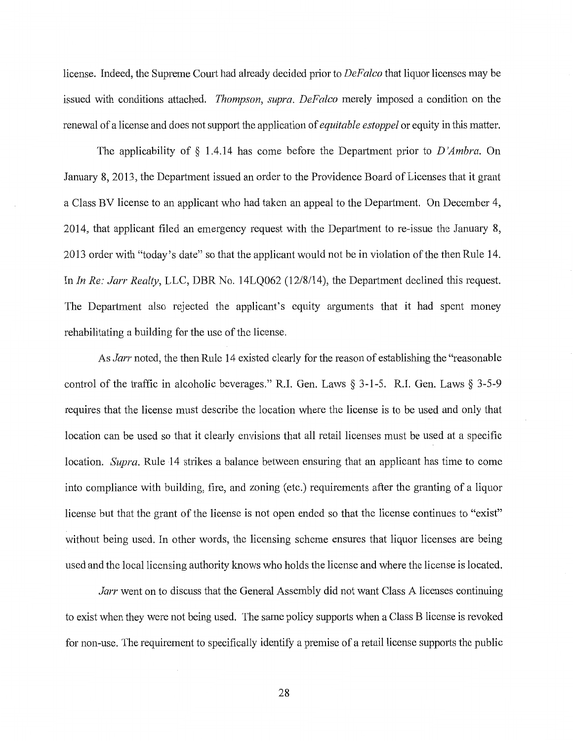license. Indeed, the Supreme Court had already decided prior to *DeFalco* that liquor licenses may be issued with conditions attached. *Thompson, supra. DeFalco* merely imposed a condition on the renewal of a license and does not support the application of *equitable estoppel* or equity in this matter.

The applicability of § 1.4.14 has come before the Department prior to *D 'Ambra.* On January 8, 2013, the Department issued an order to the Providence Board of Licenses that it grant a Class BV license to an applicant who had taken an appeal to the Department. On December 4, 2014, that applicant filed an emergency request with the Department to re-issue the January 8, 2013 order with "today's date" so that the applicant would not be in violation of the then Rule 14. In *In Re: Jarr Realty*, LLC, DBR No. 14LQ062 (12/8/14), the Department declined this request. The Department also rejected the applicant's equity arguments that it had spent money rehabilitating a building for the use of the license.

As *Jarr* noted, the then Rule 14 existed clearly for the reason of establishing the "reasonable control of the traffic in alcoholic beverages." R.I. Gen. Laws§ 3-1-5. R.I. Gen. Laws§ 3-5-9 requires that the license must describe the location where the license is to be used and only that location can be used so that it clearly envisions that all retail licenses must be used at a specific location. *Supra.* Rule 14 strikes a balance between ensuring that an applicant has time to come into compliance with building, fire, and zoning (etc.) requirements after the granting of a liquor license but that the grant of the license is not open ended so that the license continues to "exist" without being used. In other words, the licensing scheme ensures that liquor licenses are being used and the local licensing authority knows who holds the license and where the license is located.

*Jarr* went on to discuss that the General Assembly did not want Class A licenses continuing to exist when they were not being used. The same policy supports when a Class B license is revoked for non-use. The requirement to specifically identify a premise of a retail license supports the public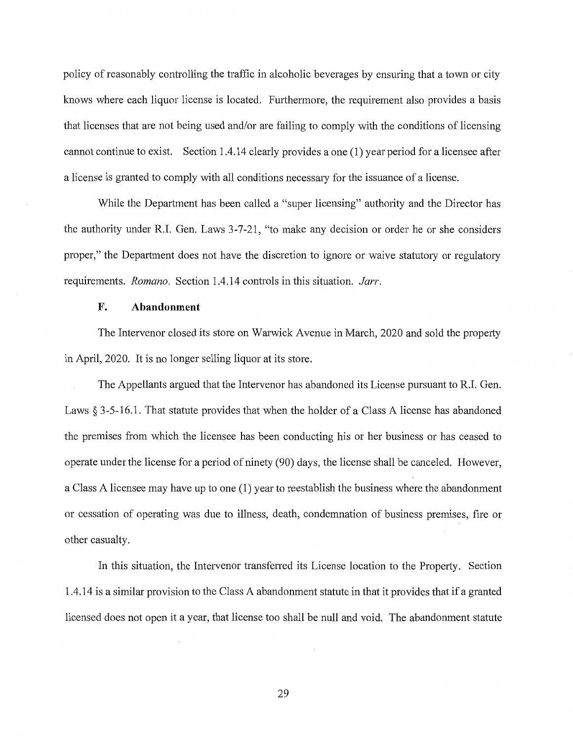policy of reasonably controlling the traffic in alcoholic beverages by ensuring that a town or city knows where each liquor license is located. Furthermore, the requirement also provides a basis that licenses that are not being used and/or are failing to comply with the conditions of licensing cannot continue to exist. Section 1.4.14 clearly provides a one (1) year period for a licensee after a license is granted to comply with all conditions necessary for the issuance of a license.

While the Department has been called a "super licensing" authority and the Director has the authority under R.I. Gen. Laws 3-7-21, "to make any decision or order he or she considers proper," the Department does not have the discretion to ignore or waive statutory or regulatory requirements. *Romano.* Section 1.4.14 controls in this situation. *Jarr.* 

# **F. Abandonment**

The Intervenor closed its store on Warwick Avenue in March, 2020 and sold the property in April, 2020. It is no longer selling liquor at its store.

The Appellants argued that the Intervenor has abandoned its License pursuant to R.I. Gen. Laws  $\S 3-5-16.1$ . That statute provides that when the holder of a Class A license has abandoned the premises from which the licensee has been conducting his or her business or has ceased to operate under the license for a period of ninety (90) days, the license shall be canceled. However, a Class A licensee may have up to one (1) year to reestablish the business where the abandonment or cessation of operating was due to illness, death, condemnation of business premises, fire or other casualty.

In this situation, the Intervenor transferred its License location to the Property. Section 1.4.14 is a similar provision to the Class A abandonment statute in that it provides that if a granted licensed does not open it a year, that license too shall be null and void. The abandonment statute

29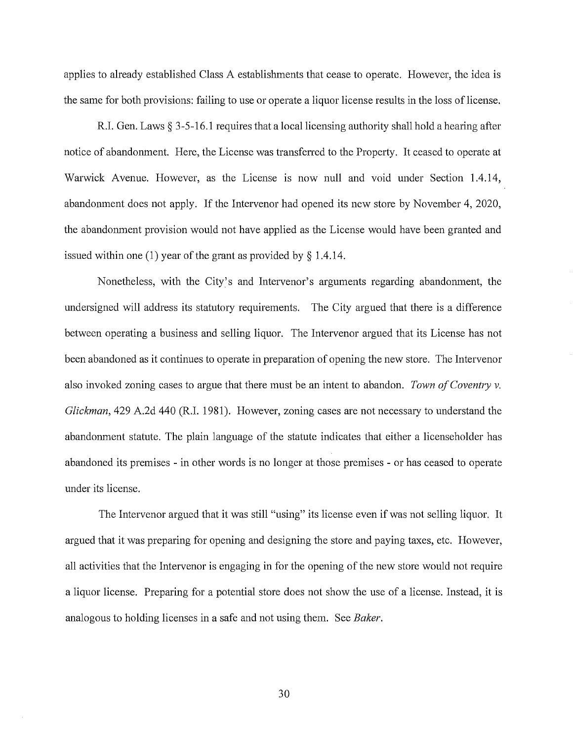applies to already established Class A establishments that cease to operate. However, the idea is the same for both provisions: failing to use or operate a liquor license results in the loss of license.

R.I. Gen. Laws § 3-5-16.1 requires that a local licensing authority shall hold a hearing after notice of abandonment. Here, the License was transferred to the Property. It ceased to operate at Warwick Avenue. However, as the License is now null and void under Section 1.4.14, abandonment does not apply. If the Intervenor had opened its new store by November 4, 2020, the abandonment provision would not have applied as the License would have been granted and issued within one (1) year of the grant as provided by  $\S$  1.4.14.

Nonetheless, with the City's and Intervenor's arguments regarding abandonment, the undersigned will address its statutory requirements. The City argued that there is a difference between operating a business and selling liquor. The Intervenor argued that its License has not been abandoned as it continues to operate in preparation of opening the new store. The Intervenor also invoked zoning cases to argue that there must be an intent to abandon. *Town of Coventry v. Glickman,* 429 A.2d 440 (R.I. 1981). However, zoning cases are not necessary to understand the abandonment statute. The plain language of the statute indicates that either a licenseholder has abandoned its premises - in other words is no longer at those premises - or has ceased to operate under its license.

The Intervenor argued that it was still "using" its license even if was not selling liquor. It argued that it was preparing for opening and designing the store and paying taxes, etc. However, all activities that the Intervenor is engaging in for the opening of the new store would not require a liquor license. Preparing for a potential store does not show the use of a license. Instead, it is analogous to holding licenses in a safe and not using them. See *Baker.* 

30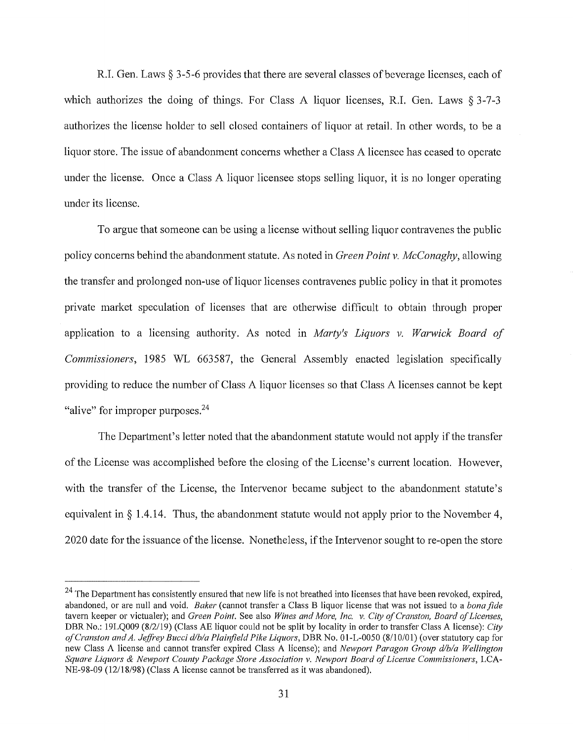R.I. Gen. Laws§ 3-5-6 provides that there are several classes of beverage licenses, each of which authorizes the doing of things. For Class A liquor licenses, R.I. Gen. Laws § 3-7-3 authorizes the license holder to sell closed containers of liquor at retail. In other words, to be a liquor store. The issue of abandonment concerns whether a Class A licensee has ceased to operate under the license. Once a Class A liquor licensee stops selling liquor, it is no longer operating under its license.

To argue that someone can be using a license without selling liquor contravenes the public policy concerns behind the abandonment statute. As noted in *Green Point v. McConaghy,* allowing the transfer and prolonged non-use of liquor licenses contravenes public policy in that it promotes private market speculation of licenses that are otherwise difficult to obtain through proper application to a licensing authority. As noted in *Marty's Liquors v. Warwick Board of Commissioners,* 1985 WL 663587, the General Assembly enacted legislation specifically providing to reduce the number of Class A liquor licenses so that Class A licenses cannot be kept "alive" for improper purposes.<sup>24</sup>

The Department's letter noted that the abandonment statute would not apply if the transfer of the License was accomplished before the closing of the License's current location. However, with the transfer of the License, the Intervenor became subject to the abandonment statute's equivalent in§ 1.4.14. Thus, the abandonment statute would not apply prior to the November 4, 2020 date for the issuance of the license. Nonetheless, if the Intervenor sought to re-open the store

 $24$  The Department has consistently ensured that new life is not breathed into licenses that have been revoked, expired, abandoned, or are null and void. *Baker* ( cannot transfer a Class B liquor license that was not issued to a *bona fide*  tavern keeper or victualer); and *Green Point.* See also *Wines and More, Inc. v. City of Cranston, Board of Licenses,*  DBR No.: 19LQ009 (8/2/19) (Class AE liquor could not be split by locality in order to transfer Class A license): *City of Cranston and A. Jeffi·ey Bucci d/b/a Plainfield Pike Liquors,* DBR No. 01-L-0050 (8/10/01) (over statutory cap for new Class A license and cannot transfer expired Class A license); and *Newport Paragon Group d/b/a Wellington Square Liquors & Newport County Package Store Association v. Newport Board of License Commissioners,* LCA-NE-98-09 ( 12/18/98) (Class A license cannot be transferred as it was abandoned).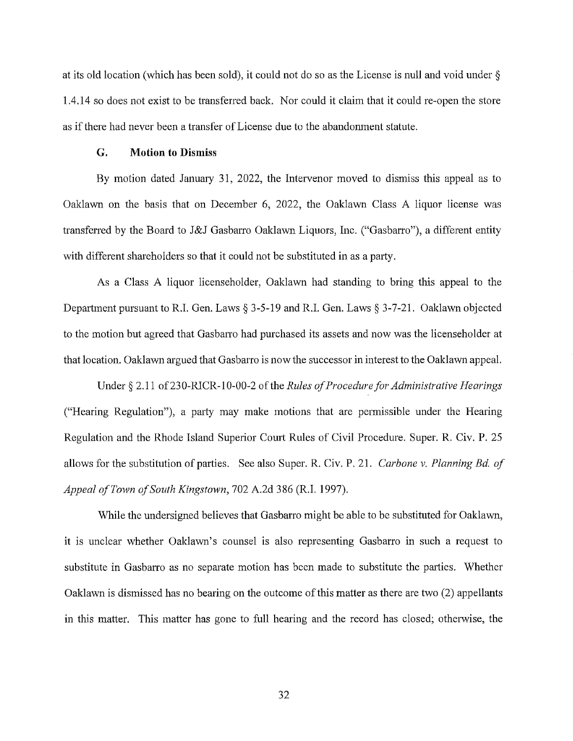at its old location (which has been sold), it could not do so as the License is null and void under § l.4.14 so does not exist to be transferred back. Nor could it claim that it could re-open the store as ifthere had never been a transfer of License due to the abandonment statute.

#### **G. Motion to Dismiss**

By motion dated January 31, 2022, the Intervenor moved to dismiss this appeal as to Oaklawn on the basis that on December 6, 2022, the Oaklawn Class A liquor license was transferred by the Board to J&J Gasbarro Oaklawn Liquors, Inc. ("Gasbarro"), a different entity with different shareholders so that it could not be substituted in as a party.

As a Class A liquor licenseholder, Oaklawn had standing to bring this appeal to the Department pursuant to R.L Gen. Laws§ 3-5-19 and R.I. Gen. Laws§ 3-7-21. Oaklawn objected to the motion but agreed that Gasbarro had purchased its assets and now was the licenseholder at that location. Oaklawn argued that Gasbarro is now the successor in interest to the Oaklawn appeal.

Under § 2.11 of 230-RICR-10-00-2 of the *Rules of Procedure for Administrative Hearings*  ("Hearing Regulation"), a party may make motions that are permissible under the Hearing Regulation and the Rhode Island Superior Court Rules of Civil Procedure. Super. R. Civ. P. 25 allows for the substitution of parties. See also Super. R. Civ. P. 21. *Carbone v. Planning Bd. of Appeal of Town of South Kingstown,* 702 A.2d 386 (R.I. 1997).

While the undersigned believes that Gasbarro might be able to be substituted for Oaklawn, it is unclear whether Oaklawn's counsel is also representing Gasbarro in such a request to substitute in Gasbarro as no separate motion has been made to substitute the parties. Whether Oaklawn is dismissed has no bearing on the outcome of this matter as there are two (2) appellants in this matter. This matter has gone to full hearing and the record has closed; otherwise, the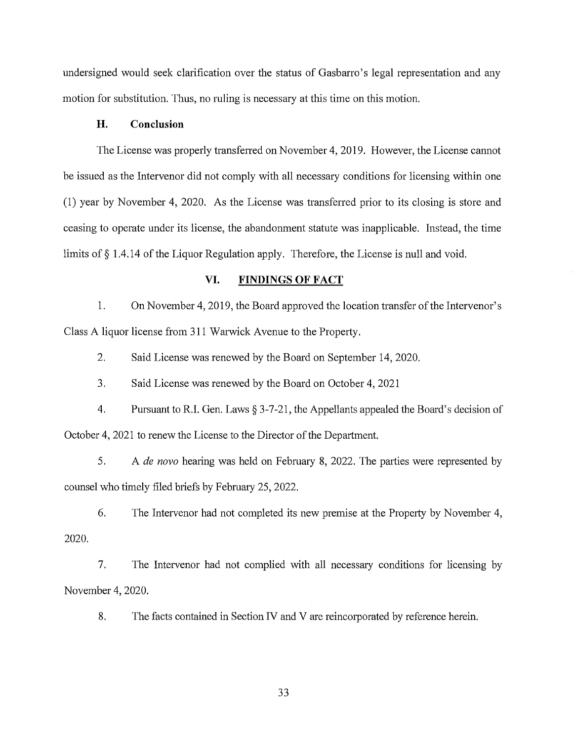undersigned would seek clarification over the status of Gasbarro's legal representation and any motion for substitution. Thus, no ruling is necessary at this time on this motion.

# **H. Conclusion**

The License was properly transferred on November 4, 2019. However, the License cannot be issued as the Intervenor did not comply with all necessary conditions for licensing within one  $(1)$  year by November 4, 2020. As the License was transferred prior to its closing is store and ceasing to operate under its license, the abandonment statute was inapplicable. Instead, the time limits of§ 1 .4.14 of the Liquor Regulation apply. Therefore, the License is null and void.

# **VI. FINDINGS OF FACT**

1. On November 4, 2019, the Board approved the location transfer of the Intervenor's Class A liquor license from 311 Warwick Avenue to the Property.

2. Said License was renewed by the Board on September 14, 2020.

3. Said License was renewed by the Board on October 4, 2021

4. Pursuant to RI. Gen. Laws § 3-7-21, the Appellants appealed the Board's decision of October 4, 2021 to renew the License to the Director of the Department.

5. A *de nova* hearing was held on February 8, 2022. The parties were represented by counsel who timely filed briefs by February 25, 2022.

6. The Intervenor had not completed its new premise at the Property by November 4, 2020.

7. The Intervenor had not complied with all necessaiy conditions for licensing by November 4, 2020.

8. The facts contained in Section IV and V are reincorporated by reference herein.

33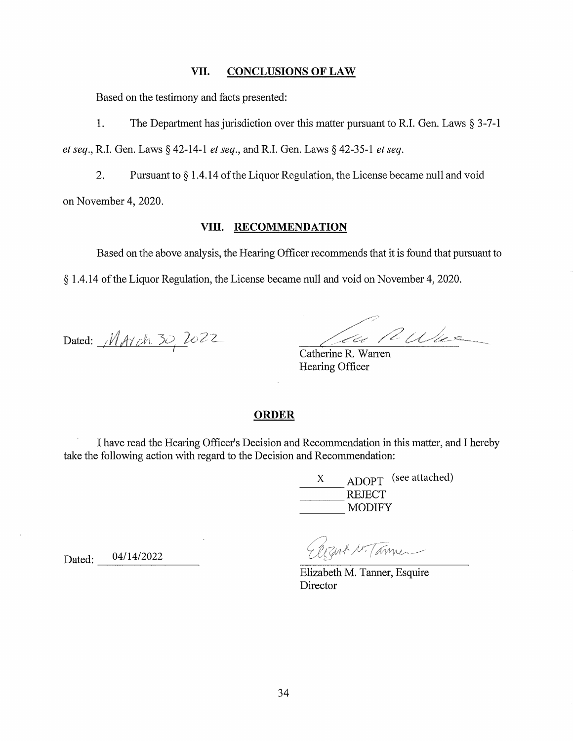### VII. CONCLUSIONS OF LAW

Based on the testimony and facts presented:

1. The Department has jurisdiction over this matter pursuant to R.I. Gen. Laws  $\S 3-7-1$ 

*et seq.,* R.I. Gen. Laws§ 42-14-1 *et seq.,* and RI. Gen. Laws§ 42-35-1 *et seq.* 

2. Pursuant to § 1.4.14 of the Liquor Regulation, the License became null and void on November 4, 2020.

### **VIII. RECOMMENDATION**

Based on the above analysis, the Hearing Officer recommends that it is found that pursuant to

§ 1.4.14 of the Liquor Regulation, the License became null and void on November 4, 2020.

Dated:  $M$ AYch 30, 2022

Z;:' *2.* ·j··=- / *\_/c,* ,, / *C:/4.,,* , \_\_ .? ... - .. --·--..

Catherine R. Warren Hearing Officer

#### **ORDER**

I have read the Hearing Officer's Decision and Recommendation in this matter, and I hereby take the following action with regard to the Decision and Recommendation:

> X X ADOPT (see attached)  $\frac{\text{X}}{\text{REIECT}}$ REJECT<br>MODIFY

Rant N. Tanner

Elizabeth M. Tanner, Esquire **Director** 

Dated: 04/14/2022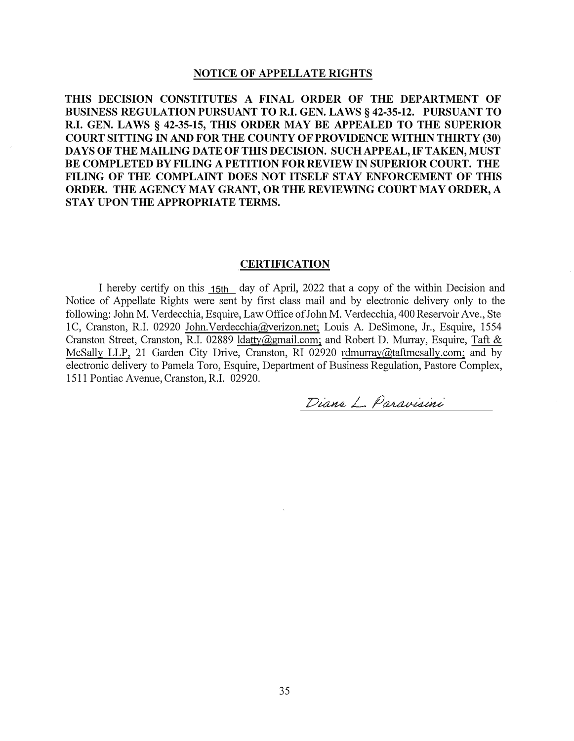#### **NOTICE OF APPELLATE RIGHTS**

**THIS DECISION CONSTITUTES A FINAL ORDER OF THE DEPARTMENT OF BUSINESS REGULATION PURSUANT TO R.I. GEN. LAWS§ 42-35-12. PURSUANT TO R.I. GEN. LAWS§ 42-35-15, THIS ORDER MAY BE APPEALED TO THE SUPERIOR COURT SITTING IN AND FOR THE COUNTY OF PROVIDENCE WITHIN THIRTY (30) DAYS OF THE MAILING DATEOF TIDS DECISION. SUCH APPEAL, IF TAKEN, MUST BE COMPLETED BYFILING A PETITION FORREVIEW IN SUPERIOR COURT. THE FILING OF THE COMPLAINT DOES NOT ITSELF STAY ENFORCEMENT OF THIS ORDER. THE AGENCY MAY GRANT, OR THE REVIEWING COURT MAY ORDER, A STAY UPON THE APPROPRIATE TERMS.**

#### **CERTIFICATION**

I hereby certify on this <u>15th</u> day of April, 2022 that a copy of the within Decision and Notice of Appellate Rights were sent by first class mail and by electronic delivery only to the following: John M. Verdecchia, Esquire, Law Office of John M. Verdecchia, 400 Reservoir Ave., Ste lC, Cranston, R.I. 02920 John.Verdecchia@verizon.net; Louis A. DeSimone, Jr., Esquire, 1554 Cranston Street, Cranston, R.I. 02889 Idatty@gmail.com; and Robert D. Murray, Esquire, Taft & McSally LLP, 21 Garden City Drive, Cranston, RI 02920 rdmurray@taftmcsally.com; and by electronic delivery to Pamela Toro, Esquire, Department of Business Regulation, Pastore Complex, 1511 Pontiac Avenue,Cranston, R.I. 02920.

Diane L. Paravisini